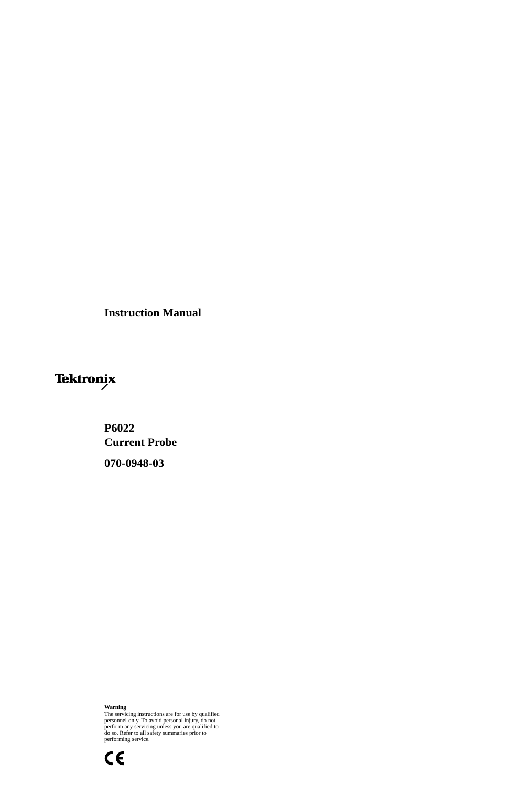**Instruction Manual**

# Tektronix

# **P6022 Current Probe 070-0948-03**

#### **Warning**

The servicing instructions are for use by qualified personnel only. To avoid personal injury, do not perform any servicing unless you are qualified to do so. Refer to all safety summaries prior to performing service.

 $c \in$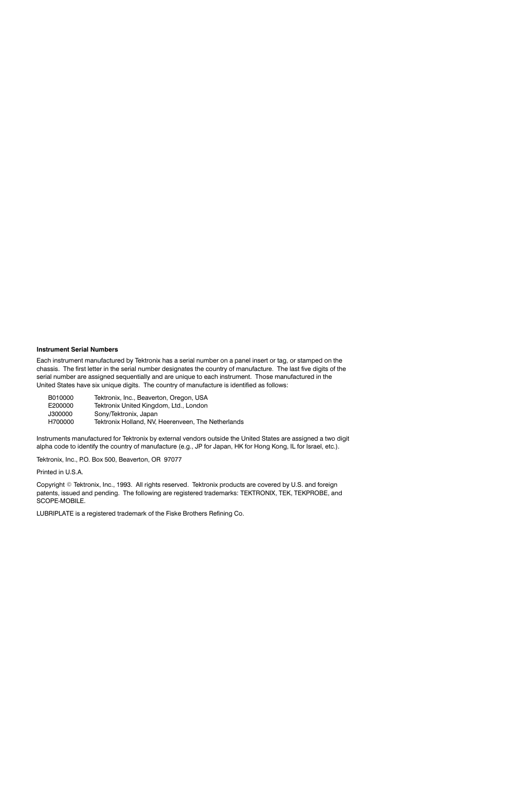#### **Instrument Serial Numbers**

Each instrument manufactured by Tektronix has a serial number on a panel insert or tag, or stamped on the chassis. The first letter in the serial number designates the country of manufacture. The last five digits of the serial number are assigned sequentially and are unique to each instrument. Those manufactured in the United States have six unique digits. The country of manufacture is identified as follows:

| B010000 | Tektronix, Inc., Beaverton, Oregon, USA            |
|---------|----------------------------------------------------|
| E200000 | Tektronix United Kingdom, Ltd., London             |
| J300000 | Sony/Tektronix, Japan                              |
| H700000 | Tektronix Holland, NV, Heerenveen, The Netherlands |

Instruments manufactured for Tektronix by external vendors outside the United States are assigned a two digit alpha code to identify the country of manufacture (e.g., JP for Japan, HK for Hong Kong, IL for Israel, etc.).

Tektronix, Inc., P.O. Box 500, Beaverton, OR 97077

Printed in U.S.A.

Copyright © Tektronix, Inc., 1993. All rights reserved. Tektronix products are covered by U.S. and foreign patents, issued and pending. The following are registered trademarks: TEKTRONIX, TEK, TEKPROBE, and SCOPE-MOBILE.

LUBRIPLATE is a registered trademark of the Fiske Brothers Refining Co.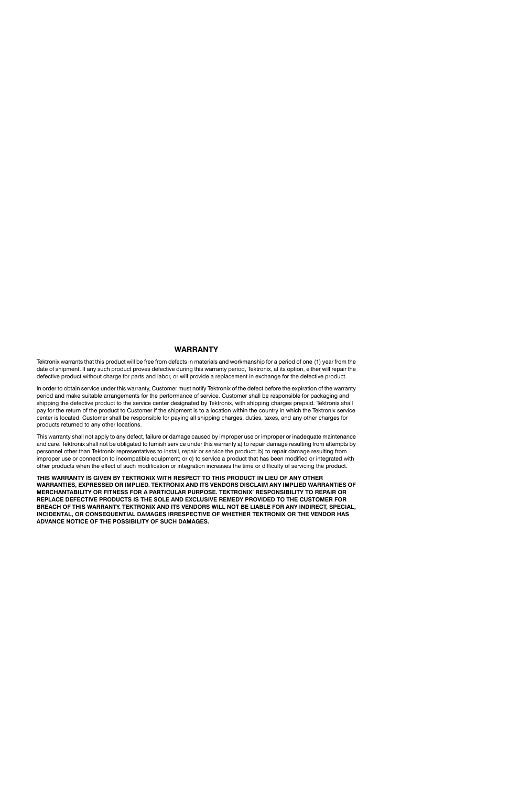#### **WARRANTY**

Tektronix warrants that this product will be free from defects in materials and workmanship for a period of one (1) year from the date of shipment. If any such product proves defective during this warranty period, Tektronix, at its option, either will repair the defective product without charge for parts and labor, or will provide a replacement in exchange for the defective product.

In order to obtain service under this warranty, Customer must notify Tektronix of the defect before the expiration of the warranty period and make suitable arrangements for the performance of service. Customer shall be responsible for packaging and shipping the defective product to the service center designated by Tektronix, with shipping charges prepaid. Tektronix shall pay for the return of the product to Customer if the shipment is to a location within the country in which the Tektronix service center is located. Customer shall be responsible for paying all shipping charges, duties, taxes, and any other charges for products returned to any other locations.

This warranty shall not apply to any defect, failure or damage caused by improper use or improper or inadequate maintenance and care. Tektronix shall not be obligated to furnish service under this warranty a) to repair damage resulting from attempts by personnel other than Tektronix representatives to install, repair or service the product; b) to repair damage resulting from improper use or connection to incompatible equipment; or c) to service a product that has been modified or integrated with other products when the effect of such modification or integration increases the time or difficulty of servicing the product.

THIS WARRANTY IS GIVEN BY TEKTRONIX WITH RESPECT TO THIS PRODUCT IN LIEU OF ANY OTHER WARRANTIES. EXPRESSED OR IMPLIED. TEKTRONIX AND ITS VENDORS DISCLAIM ANY IMPLIED WARRANTIES OF MERCHANTABILITY OR FITNESS FOR A PARTICULAR PURPOSE, TEKTRONIX' RESPONSIBILITY TO REPAIR OR REPLACE DEFECTIVE PRODUCTS IS THE SOLE AND EXCLUSIVE REMEDY PROVIDED TO THE CUSTOMER FOR BREACH OF THIS WARRANTY. TEKTRONIX AND ITS VENDORS WILL NOT BE LIABLE FOR ANY INDIRECT, SPECIAL, INCIDENTAL, OR CONSEQUENTIAL DAMAGES IRRESPECTIVE OF WHETHER TEKTRONIX OR THE VENDOR HAS ADVANCE NOTICE OF THE POSSIBILITY OF SUCH DAMAGES.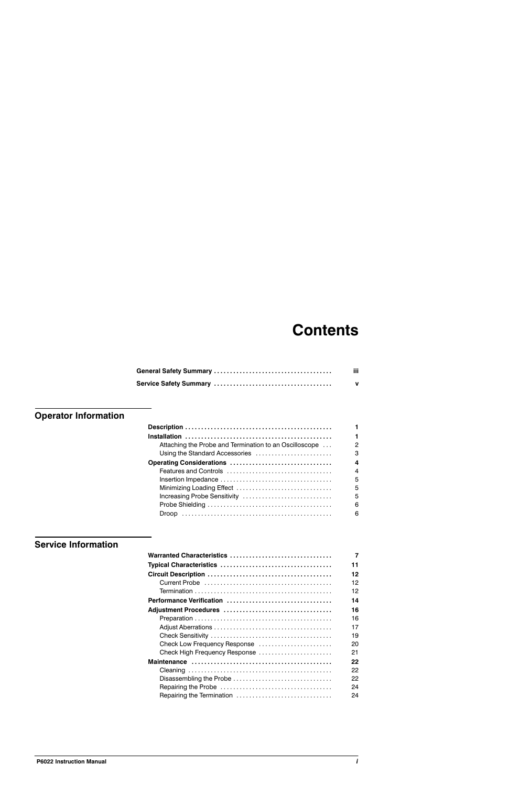# **Contents**

| iii. |
|------|
| v    |

# **Operator Information**

|                                                        | 1 |
|--------------------------------------------------------|---|
| Attaching the Probe and Termination to an Oscilloscope | 2 |
| Using the Standard Accessories                         | 3 |
| Operating Considerations                               | 4 |
|                                                        | 4 |
|                                                        | 5 |
|                                                        | 5 |
| Increasing Probe Sensitivity                           | 5 |
|                                                        | 6 |
|                                                        | 6 |
|                                                        |   |

# **Service Information**

| Warranted Characteristics     | 7  |
|-------------------------------|----|
|                               | 11 |
|                               | 12 |
|                               | 12 |
|                               | 12 |
| Performance Verification      | 14 |
|                               | 16 |
|                               | 16 |
|                               | 17 |
|                               | 19 |
| Check Low Frequency Response  | 20 |
| Check High Frequency Response | 21 |
|                               | 22 |
|                               | 22 |
| Disassembling the Probe       | 22 |
|                               | 24 |
| Repairing the Termination     | 24 |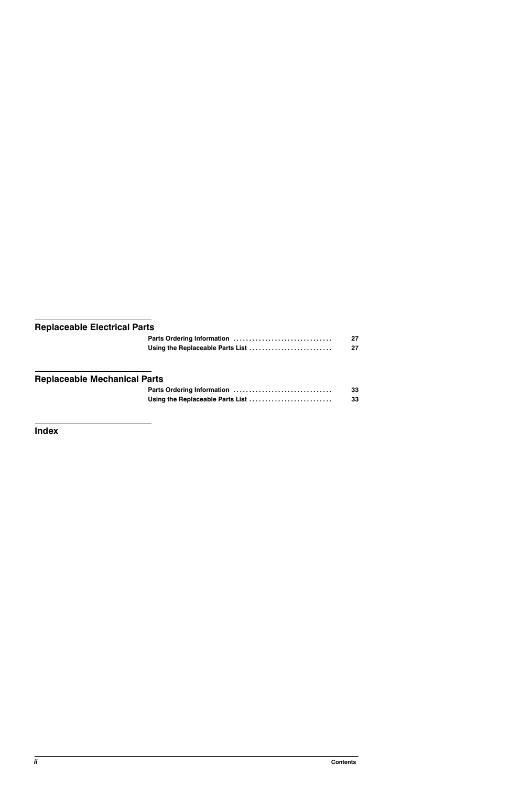# **Replaceable Electrical Parts**

| Using the Replaceable Parts List |  |
|----------------------------------|--|

# **Replaceable Mechanical Parts**

| Parts Ordering Information       | 33 |
|----------------------------------|----|
| Using the Replaceable Parts List | 33 |

**Index**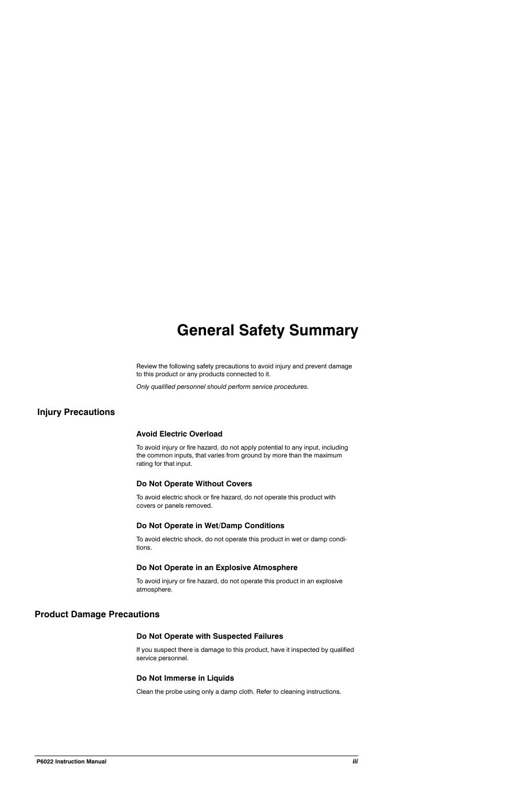# **General Safety Summary**

Review the following safety precautions to avoid injury and prevent damage to this product or any products connected to it.

Only qualified personnel should perform service procedures.

# **Injury Precautions**

## **Avoid Electric Overload**

To avoid injury or fire hazard, do not apply potential to any input, including the common inputs, that varies from ground by more than the maximum rating for that input.

## **Do Not Operate Without Covers**

To avoid electric shock or fire hazard, do not operate this product with covers or panels removed.

## Do Not Operate in Wet/Damp Conditions

To avoid electric shock, do not operate this product in wet or damp conditions.

## Do Not Operate in an Explosive Atmosphere

To avoid injury or fire hazard, do not operate this product in an explosive atmosphere.

# **Product Damage Precautions**

## Do Not Operate with Suspected Failures

If you suspect there is damage to this product, have it inspected by qualified service personnel.

## Do Not Immerse in Liquids

Clean the probe using only a damp cloth. Refer to cleaning instructions.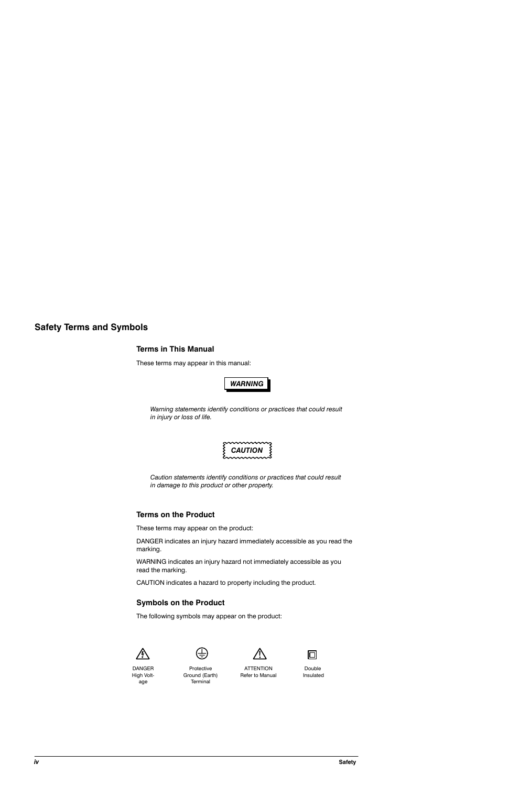# **Safety Terms and Symbols**

#### **Terms in This Manual**

These terms may appear in this manual:



Warning statements identify conditions or practices that could result in injury or loss of life.



Caution statements identify conditions or practices that could result in damage to this product or other property.

## **Terms on the Product**

These terms may appear on the product:

DANGER indicates an injury hazard immediately accessible as you read the marking.

WARNING indicates an injury hazard not immediately accessible as you read the marking.

CAUTION indicates a hazard to property including the product.

## **Symbols on the Product**

The following symbols may appear on the product:







**DANGER** High Voltage

Protective Ground (Earth) Terminal

**ATTENTION** Refer to Manual

Double Insulated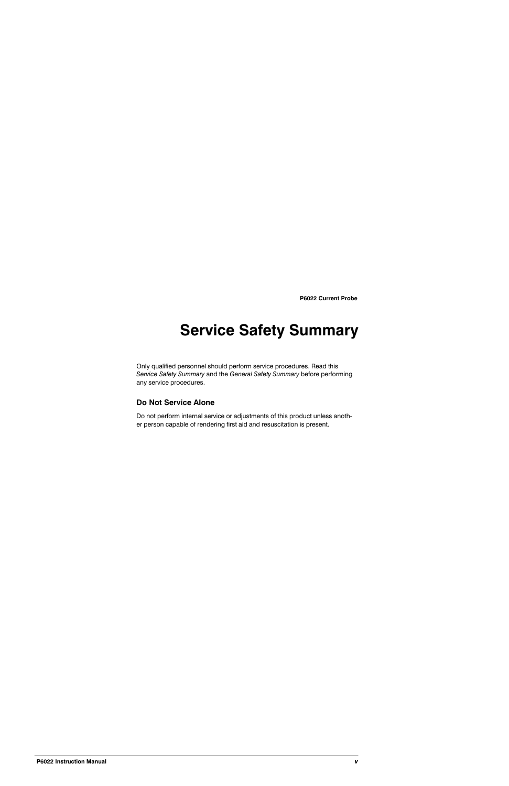# **Service Safety Summary**

Only qualified personnel should perform service procedures. Read this Service Safety Summary and the General Safety Summary before performing any service procedures.

# Do Not Service Alone

Do not perform internal service or adjustments of this product unless another person capable of rendering first aid and resuscitation is present.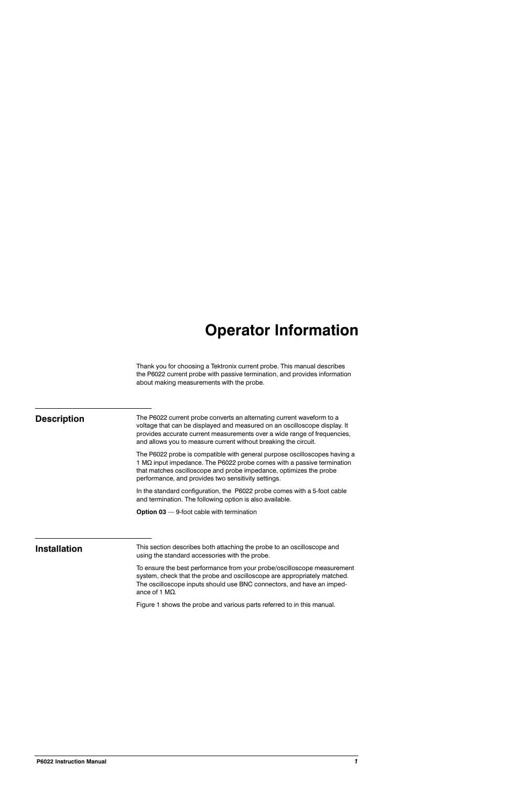# **Operator Information**

Thank you for choosing a Tektronix current probe. This manual describes the P6022 current probe with passive termination, and provides information about making measurements with the probe.

# **Description**

The P6022 current probe converts an alternating current waveform to a voltage that can be displayed and measured on an oscilloscope display. It provides accurate current measurements over a wide range of frequencies, and allows you to measure current without breaking the circuit.

The P6022 probe is compatible with general purpose oscilloscopes having a 1 MΩ input impedance. The P6022 probe comes with a passive termination that matches oscilloscope and probe impedance, optimizes the probe performance, and provides two sensitivity settings.

In the standard configuration, the P6022 probe comes with a 5-foot cable and termination. The following option is also available.

**Option 03**  $-$  9-foot cable with termination

# **Installation**

This section describes both attaching the probe to an oscilloscope and using the standard accessories with the probe.

To ensure the best performance from your probe/oscilloscope measurement system, check that the probe and oscilloscope are appropriately matched. The oscilloscope inputs should use BNC connectors, and have an impedance of 1  $M\Omega$ .

Figure 1 shows the probe and various parts referred to in this manual.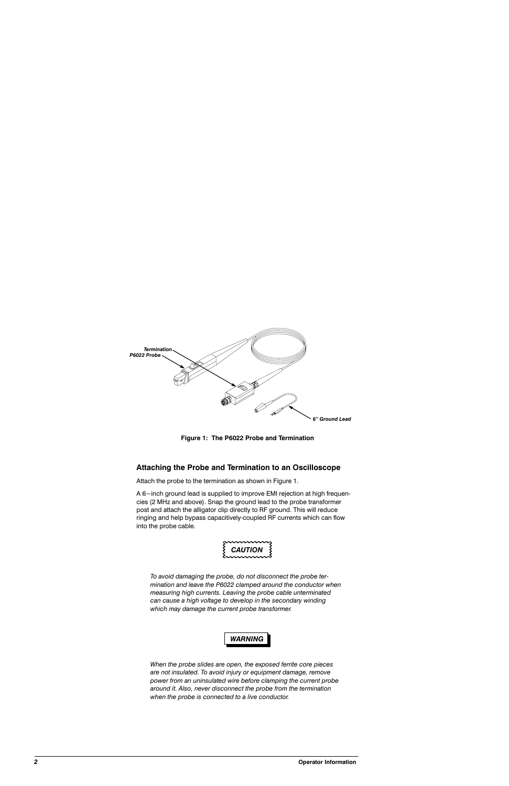

Figure 1: The P6022 Probe and Termination

## Attaching the Probe and Termination to an Oscilloscope

Attach the probe to the termination as shown in Figure 1.

A 6-inch ground lead is supplied to improve EMI rejection at high frequencies (2 MHz and above). Snap the ground lead to the probe transformer post and attach the alligator clip directly to RF ground. This will reduce ringing and help bypass capacitively-coupled RF currents which can flow into the probe cable.



To avoid damaging the probe, do not disconnect the probe termination and leave the P6022 clamped around the conductor when measuring high currents. Leaving the probe cable unterminated can cause a high voltage to develop in the secondary winding which may damage the current probe transformer.



When the probe slides are open, the exposed ferrite core pieces are not insulated. To avoid injury or equipment damage, remove power from an uninsulated wire before clamping the current probe around it. Also, never disconnect the probe from the termination when the probe is connected to a live conductor.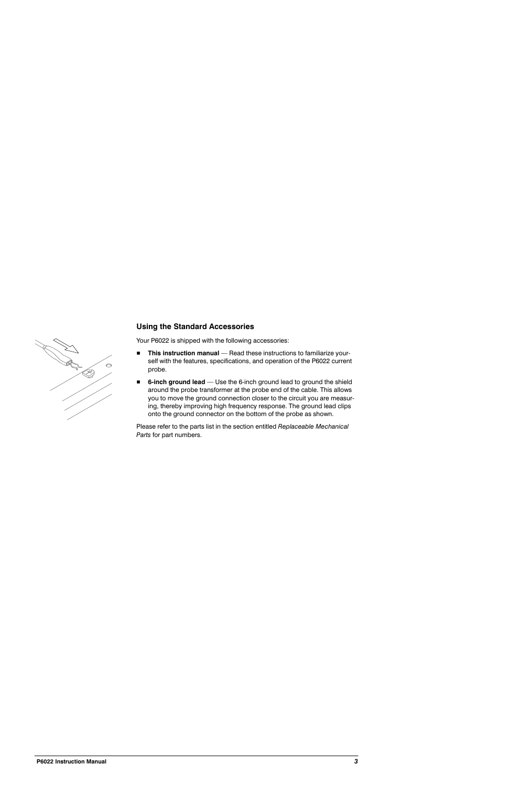

# **Using the Standard Accessories**

Your P6022 is shipped with the following accessories:

- This instruction manual Read these instructions to familiarize your- $\blacksquare$ self with the features, specifications, and operation of the P6022 current probe.
- 6-inch ground lead Use the 6-inch ground lead to ground the shield around the probe transformer at the probe end of the cable. This allows you to move the ground connection closer to the circuit you are measuring, thereby improving high frequency response. The ground lead clips onto the ground connector on the bottom of the probe as shown.

Please refer to the parts list in the section entitled Replaceable Mechanical Parts for part numbers.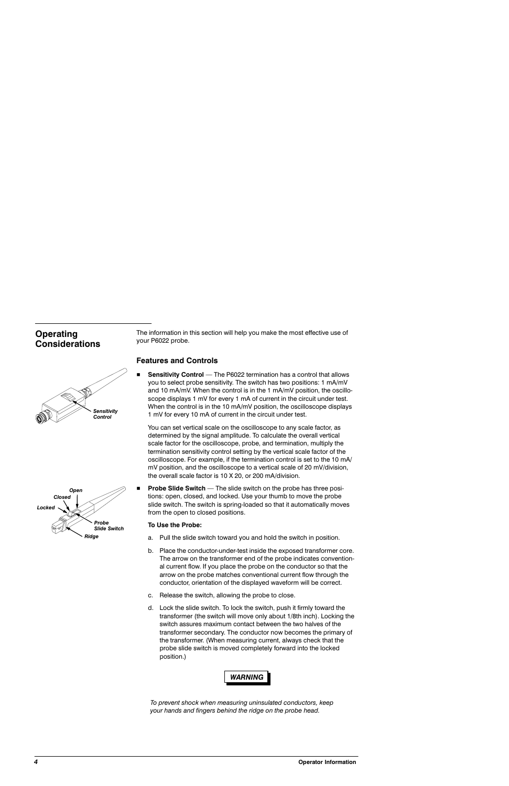# **Operating Considerations**





The information in this section will help you make the most effective use of your P6022 probe.

#### **Features and Controls**

**Sensitivity Control** — The P6022 termination has a control that allows you to select probe sensitivity. The switch has two positions: 1 mA/mV and 10 mA/mV. When the control is in the 1 mA/mV position, the oscilloscope displays 1 mV for every 1 mA of current in the circuit under test. When the control is in the 10 mA/mV position, the oscilloscope displays 1 mV for every 10 mA of current in the circuit under test.

You can set vertical scale on the oscilloscope to any scale factor, as determined by the signal amplitude. To calculate the overall vertical scale factor for the oscilloscope, probe, and termination, multiply the termination sensitivity control setting by the vertical scale factor of the oscilloscope. For example, if the termination control is set to the 10 mA/ mV position, and the oscilloscope to a vertical scale of 20 mV/division, the overall scale factor is 10 X 20, or 200 mA/division.

**Probe Slide Switch** — The slide switch on the probe has three positions: open, closed, and locked. Use your thumb to move the probe slide switch. The switch is spring-loaded so that it automatically moves from the open to closed positions.

#### To Use the Probe:

- a. Pull the slide switch toward you and hold the switch in position.
- b. Place the conductor-under-test inside the exposed transformer core. The arrow on the transformer end of the probe indicates conventional current flow. If you place the probe on the conductor so that the arrow on the probe matches conventional current flow through the conductor, orientation of the displayed waveform will be correct.
- c. Release the switch, allowing the probe to close.
- d. Lock the slide switch. To lock the switch, push it firmly toward the transformer (the switch will move only about 1/8th inch). Locking the switch assures maximum contact between the two halves of the transformer secondary. The conductor now becomes the primary of the transformer. (When measuring current, always check that the probe slide switch is moved completely forward into the locked position.)



To prevent shock when measuring uninsulated conductors, keep your hands and fingers behind the ridge on the probe head.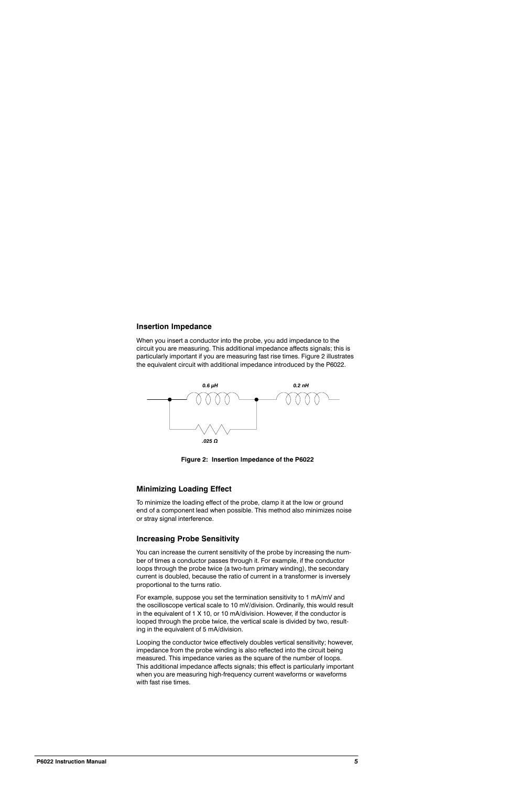#### **Insertion Impedance**

When you insert a conductor into the probe, you add impedance to the circuit you are measuring. This additional impedance affects signals; this is particularly important if you are measuring fast rise times. Figure 2 illustrates the equivalent circuit with additional impedance introduced by the P6022.



Figure 2: Insertion Impedance of the P6022

#### **Minimizing Loading Effect**

To minimize the loading effect of the probe, clamp it at the low or ground end of a component lead when possible. This method also minimizes noise or stray signal interference.

#### **Increasing Probe Sensitivity**

You can increase the current sensitivity of the probe by increasing the number of times a conductor passes through it. For example, if the conductor loops through the probe twice (a two-turn primary winding), the secondary current is doubled, because the ratio of current in a transformer is inversely proportional to the turns ratio.

For example, suppose you set the termination sensitivity to 1 mA/mV and the oscilloscope vertical scale to 10 mV/division. Ordinarily, this would result in the equivalent of 1 X 10, or 10 mA/division. However, if the conductor is looped through the probe twice, the vertical scale is divided by two, resulting in the equivalent of 5 mA/division.

Looping the conductor twice effectively doubles vertical sensitivity; however, impedance from the probe winding is also reflected into the circuit being measured. This impedance varies as the square of the number of loops. This additional impedance affects signals; this effect is particularly important when you are measuring high-frequency current waveforms or waveforms with fast rise times.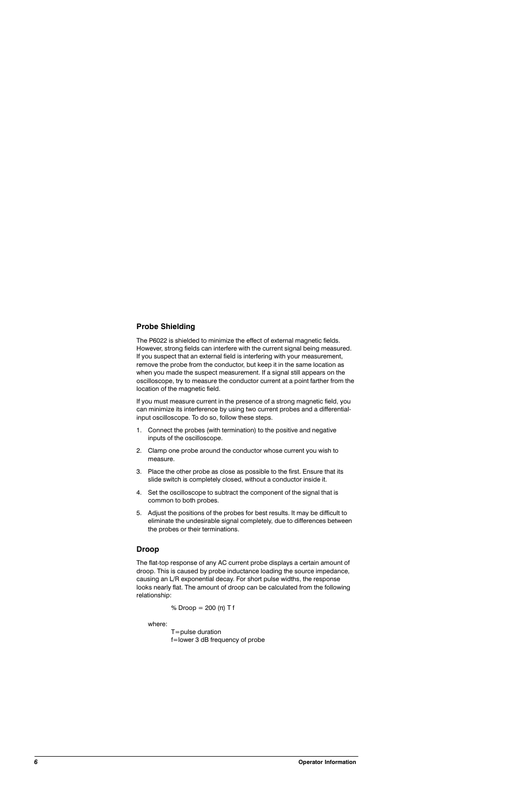# **Probe Shielding**

The P6022 is shielded to minimize the effect of external magnetic fields. However, strong fields can interfere with the current signal being measured. If you suspect that an external field is interfering with your measurement, remove the probe from the conductor, but keep it in the same location as when you made the suspect measurement. If a signal still appears on the oscilloscope, try to measure the conductor current at a point farther from the location of the magnetic field.

If you must measure current in the presence of a strong magnetic field, you can minimize its interference by using two current probes and a differentialinput oscilloscope. To do so, follow these steps.

- 1. Connect the probes (with termination) to the positive and negative inputs of the oscilloscope.
- 2. Clamp one probe around the conductor whose current you wish to measure.
- 3. Place the other probe as close as possible to the first. Ensure that its slide switch is completely closed, without a conductor inside it.
- 4. Set the oscilloscope to subtract the component of the signal that is common to both probes.
- 5. Adjust the positions of the probes for best results. It may be difficult to eliminate the undesirable signal completely, due to differences between the probes or their terminations.

## **Droop**

The flat-top response of any AC current probe displays a certain amount of droop. This is caused by probe inductance loading the source impedance, causing an L/R exponential decay. For short pulse widths, the response looks nearly flat. The amount of droop can be calculated from the following relationship:

% Droop =  $200 \text{ (}\pi\text{)} \text{ T f}$ 

where:

 $T = pulse duration$ f=lower 3 dB frequency of probe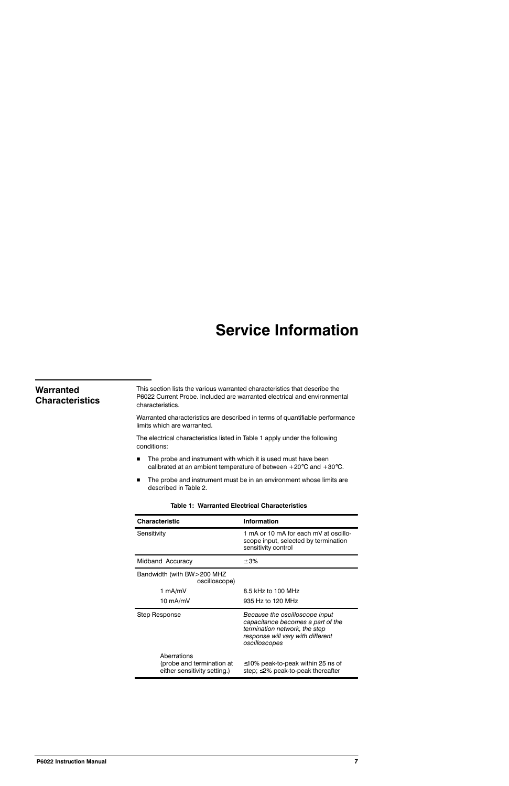# **Service Information**

| Warranted<br><b>Characteristics</b> | This section lists the various warranted characteristics that describe the<br>P6022 Current Probe, Included are warranted electrical and environmental<br>characteristics. |                                                                                                                                                            |  |  |
|-------------------------------------|----------------------------------------------------------------------------------------------------------------------------------------------------------------------------|------------------------------------------------------------------------------------------------------------------------------------------------------------|--|--|
|                                     | Warranted characteristics are described in terms of quantifiable performance<br>limits which are warranted.                                                                |                                                                                                                                                            |  |  |
|                                     | The electrical characteristics listed in Table 1 apply under the following<br>conditions:                                                                                  |                                                                                                                                                            |  |  |
|                                     | The probe and instrument with which it is used must have been<br>■<br>calibrated at an ambient temperature of between $+20^{\circ}$ C and $+30^{\circ}$ C.                 |                                                                                                                                                            |  |  |
|                                     | The probe and instrument must be in an environment whose limits are<br>■<br>described in Table 2.                                                                          |                                                                                                                                                            |  |  |
|                                     | <b>Table 1: Warranted Electrical Characteristics</b>                                                                                                                       |                                                                                                                                                            |  |  |
|                                     | <b>Characteristic</b>                                                                                                                                                      | Information                                                                                                                                                |  |  |
|                                     | Sensitivity                                                                                                                                                                | 1 mA or 10 mA for each mV at oscillo-<br>scope input, selected by termination<br>sensitivity control                                                       |  |  |
|                                     | Midband Accuracy                                                                                                                                                           | ±3%                                                                                                                                                        |  |  |
|                                     | Bandwidth (with BW>200 MHZ<br>oscilloscope)                                                                                                                                |                                                                                                                                                            |  |  |
|                                     | 1 $mA/mV$                                                                                                                                                                  | 8.5 kHz to 100 MHz                                                                                                                                         |  |  |
|                                     | 10 mA/mV                                                                                                                                                                   | 935 Hz to 120 MHz                                                                                                                                          |  |  |
|                                     | <b>Step Response</b>                                                                                                                                                       | Because the oscilloscope input<br>capacitance becomes a part of the<br>termination network, the step<br>response will vary with different<br>oscilloscopes |  |  |
|                                     | Aberrations<br>(probe and termination at<br>either sensitivity setting.)                                                                                                   | $\leq$ 10% peak-to-peak within 25 ns of<br>step; ≤2% peak-to-peak thereafter                                                                               |  |  |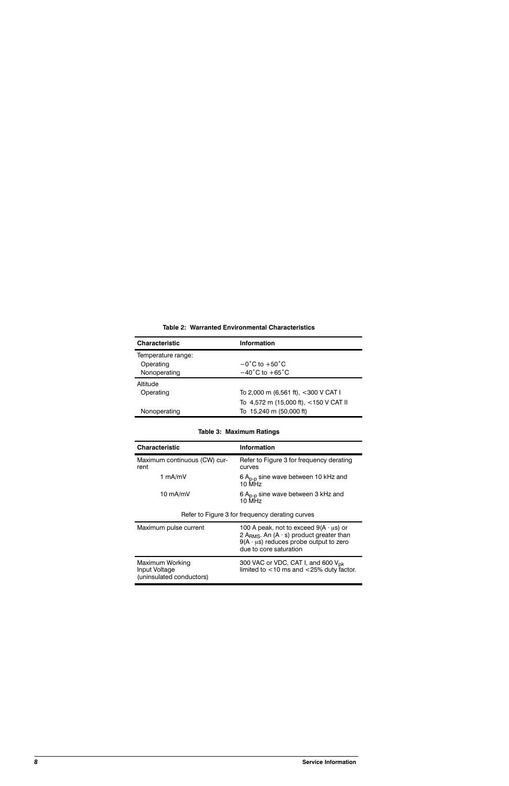| <b>Information</b>                    |
|---------------------------------------|
|                                       |
| $-0^{\circ}$ C to $+50^{\circ}$ C     |
| $-40^{\circ}$ C to $+65^{\circ}$ C    |
|                                       |
| To 2,000 m (6,561 ft), <300 V CAT I   |
| To 4,572 m (15,000 ft), <150 V CAT II |
| To 15,240 m (50,000 ft)               |
|                                       |

#### Table 2: Warranted Environmental Characteristics

#### Table 3: Maximum Ratings

| <b>Characteristic</b>                                        | <b>Information</b>                                                                                                                                                                         |  |
|--------------------------------------------------------------|--------------------------------------------------------------------------------------------------------------------------------------------------------------------------------------------|--|
| Maximum continuous (CW) cur-<br>rent                         | Refer to Figure 3 for frequency derating<br>curves                                                                                                                                         |  |
| 1 mA/mV                                                      | 6 $A_{p-p}$ sine wave between 10 kHz and<br>10 MHz                                                                                                                                         |  |
| 10 mA/mV                                                     | 6 $A_{p-p}$ sine wave between 3 kHz and<br>10 MHz                                                                                                                                          |  |
| Refer to Figure 3 for frequency derating curves              |                                                                                                                                                                                            |  |
| Maximum pulse current                                        | 100 A peak, not to exceed $9(A \cdot \mu s)$ or<br>2 A <sub>RMS</sub> . An $(A \cdot s)$ product greater than<br>$9(A \cdot \mu s)$ reduces probe output to zero<br>due to core saturation |  |
| Maximum Working<br>Input Voltage<br>(uninsulated conductors) | 300 VAC or VDC, CAT I, and 600 V <sub>pk</sub><br>limited to $<$ 10 ms and $<$ 25% duty factor.                                                                                            |  |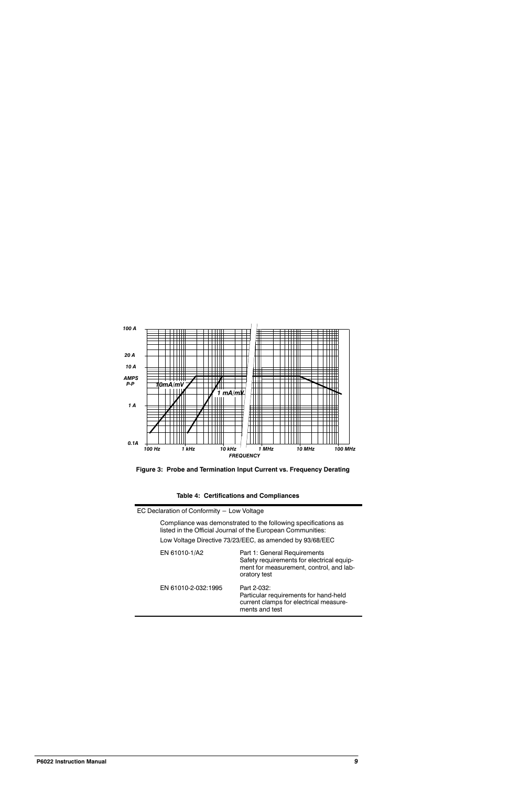



#### Table 4: Certifications and Compliances

| EC Declaration of Conformity - Low Voltage               |                                                                                                                                      |  |  |
|----------------------------------------------------------|--------------------------------------------------------------------------------------------------------------------------------------|--|--|
|                                                          | Compliance was demonstrated to the following specifications as<br>listed in the Official Journal of the European Communities:        |  |  |
| Low Voltage Directive 73/23/EEC, as amended by 93/68/EEC |                                                                                                                                      |  |  |
| EN 61010-1/A2                                            | Part 1: General Requirements<br>Safety requirements for electrical equip-<br>ment for measurement, control, and lab-<br>oratory test |  |  |
| EN 61010-2-032:1995                                      | Part 2-032:<br>Particular requirements for hand-held<br>current clamps for electrical measure-                                       |  |  |

ments and test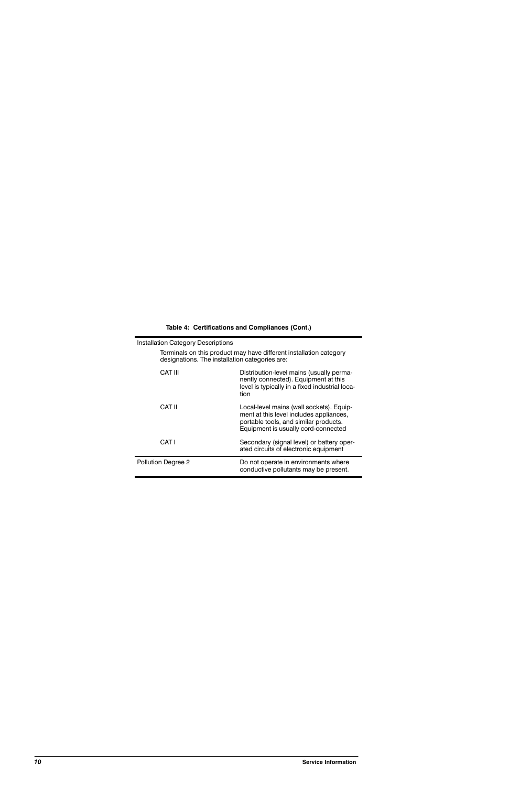|  | Table 4: Certifications and Compliances (Cont.) |  |  |  |
|--|-------------------------------------------------|--|--|--|
|--|-------------------------------------------------|--|--|--|

| <b>Installation Category Descriptions</b> |                                                                                                                                                                     |  |  |
|-------------------------------------------|---------------------------------------------------------------------------------------------------------------------------------------------------------------------|--|--|
|                                           | Terminals on this product may have different installation category<br>designations. The installation categories are:                                                |  |  |
| CAT III                                   | Distribution-level mains (usually perma-<br>nently connected). Equipment at this<br>level is typically in a fixed industrial loca-<br>tion                          |  |  |
| CAT II                                    | Local-level mains (wall sockets). Equip-<br>ment at this level includes appliances,<br>portable tools, and similar products.<br>Equipment is usually cord-connected |  |  |
| CAT I                                     | Secondary (signal level) or battery oper-<br>ated circuits of electronic equipment                                                                                  |  |  |
| Pollution Degree 2                        | Do not operate in environments where<br>conductive pollutants may be present.                                                                                       |  |  |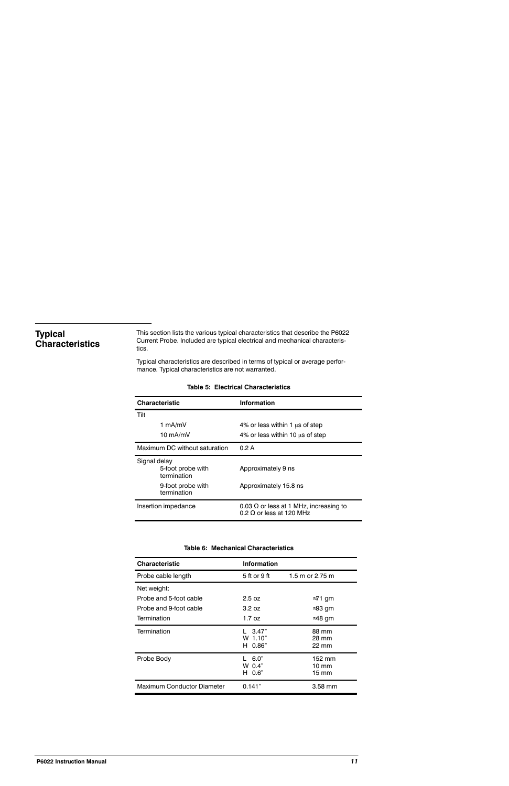# **Typical Characteristics**

This section lists the various typical characteristics that describe the P6022 Current Probe. Included are typical electrical and mechanical characteristics.

Typical characteristics are described in terms of typical or average performance. Typical characteristics are not warranted.

| <b>Characteristic</b>                            | <b>Information</b>                                                               |
|--------------------------------------------------|----------------------------------------------------------------------------------|
| Tilt                                             |                                                                                  |
| 1 mA/mV                                          | 4% or less within 1 us of step                                                   |
| 10 mA/mV                                         | 4% or less within 10 us of step                                                  |
| Maximum DC without saturation                    | 0.2 A                                                                            |
| Signal delay<br>5-foot probe with<br>termination | Approximately 9 ns                                                               |
| 9-foot probe with<br>termination                 | Approximately 15.8 ns                                                            |
| Insertion impedance                              | 0.03 $\Omega$ or less at 1 MHz, increasing to<br>0.2 $\Omega$ or less at 120 MHz |

#### **Table 5: Electrical Characteristics**

#### Table 6: Mechanical Characteristics

| <b>Characteristic</b>             | Information                    |                                   |
|-----------------------------------|--------------------------------|-----------------------------------|
| Probe cable length                | 5 ft or 9 ft                   | 1.5 m or 2.75 m                   |
| Net weight:                       |                                |                                   |
| Probe and 5-foot cable            | 2.5 oz                         | $\approx$ 71 gm                   |
| Probe and 9-foot cable            | 3.2 oz                         | $\approx$ 93 gm                   |
| Termination                       | 1.7 oz                         | $\approx$ 48 gm                   |
| Termination                       | 3.47"<br>W 1.10"<br>0.86"<br>н | 88 mm<br>28 mm<br>$22 \text{ mm}$ |
| Probe Body                        | 6.0"<br>W 0.4"<br>H 0.6"       | 152 mm<br>10 mm<br>15 mm          |
| <b>Maximum Conductor Diameter</b> | 0.141"                         | $3.58$ mm                         |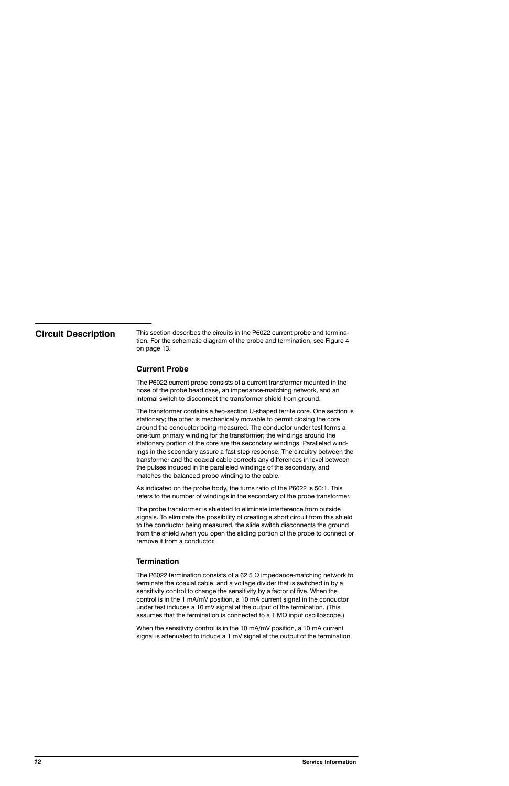# **Circuit Description**

This section describes the circuits in the P6022 current probe and termination. For the schematic diagram of the probe and termination, see Figure 4 on page 13.

# **Current Probe**

The P6022 current probe consists of a current transformer mounted in the nose of the probe head case, an impedance-matching network, and an internal switch to disconnect the transformer shield from ground.

The transformer contains a two-section U-shaped ferrite core. One section is stationary; the other is mechanically movable to permit closing the core around the conductor being measured. The conductor under test forms a one-turn primary winding for the transformer; the windings around the stationary portion of the core are the secondary windings. Paralleled windings in the secondary assure a fast step response. The circuitry between the transformer and the coaxial cable corrects any differences in level between the pulses induced in the paralleled windings of the secondary, and matches the balanced probe winding to the cable.

As indicated on the probe body, the turns ratio of the P6022 is 50:1. This refers to the number of windings in the secondary of the probe transformer.

The probe transformer is shielded to eliminate interference from outside signals. To eliminate the possibility of creating a short circuit from this shield to the conductor being measured, the slide switch disconnects the ground from the shield when you open the sliding portion of the probe to connect or remove it from a conductor.

## **Termination**

The P6022 termination consists of a 62.5  $\Omega$  impedance-matching network to terminate the coaxial cable, and a voltage divider that is switched in by a sensitivity control to change the sensitivity by a factor of five. When the control is in the 1 mA/mV position, a 10 mA current signal in the conductor under test induces a 10 mV signal at the output of the termination. (This assumes that the termination is connected to a 1  $M\Omega$  input oscilloscope.)

When the sensitivity control is in the 10 mA/mV position, a 10 mA current signal is attenuated to induce a 1 mV signal at the output of the termination.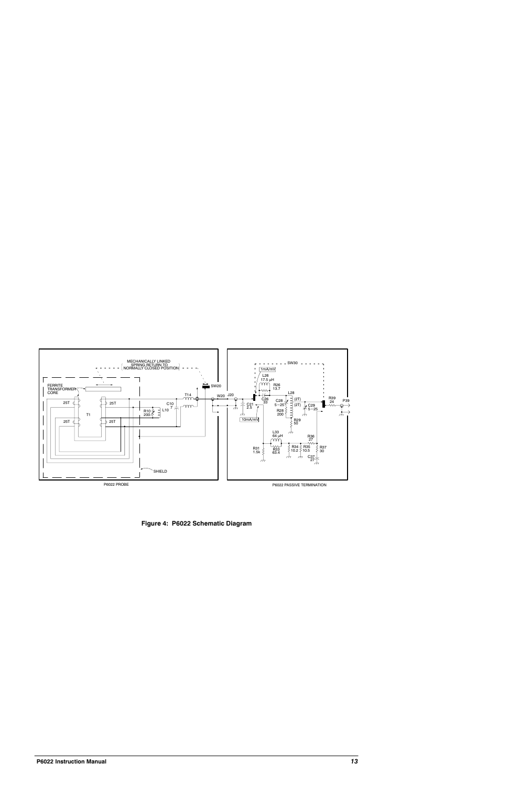

Figure 4: P6022 Schematic Diagram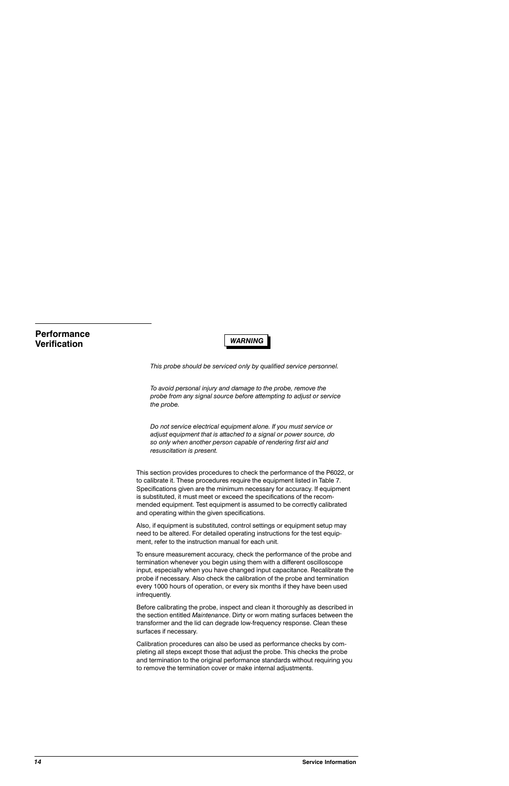# **Performance Verification**

# **WARNING**

This probe should be serviced only by qualified service personnel.

To avoid personal injury and damage to the probe, remove the probe from any signal source before attempting to adjust or service the probe.

Do not service electrical equipment alone. If you must service or adjust equipment that is attached to a signal or power source, do so only when another person capable of rendering first aid and resuscitation is present.

This section provides procedures to check the performance of the P6022, or to calibrate it. These procedures require the equipment listed in Table 7. Specifications given are the minimum necessary for accuracy. If equipment is substituted, it must meet or exceed the specifications of the recommended equipment. Test equipment is assumed to be correctly calibrated and operating within the given specifications.

Also, if equipment is substituted, control settings or equipment setup may need to be altered. For detailed operating instructions for the test equipment, refer to the instruction manual for each unit.

To ensure measurement accuracy, check the performance of the probe and termination whenever you begin using them with a different oscilloscope input, especially when you have changed input capacitance. Recalibrate the probe if necessary. Also check the calibration of the probe and termination every 1000 hours of operation, or every six months if they have been used infrequently.

Before calibrating the probe, inspect and clean it thoroughly as described in the section entitled Maintenance. Dirty or worn mating surfaces between the transformer and the lid can degrade low-frequency response. Clean these surfaces if necessary.

Calibration procedures can also be used as performance checks by completing all steps except those that adjust the probe. This checks the probe and termination to the original performance standards without requiring you to remove the termination cover or make internal adjustments.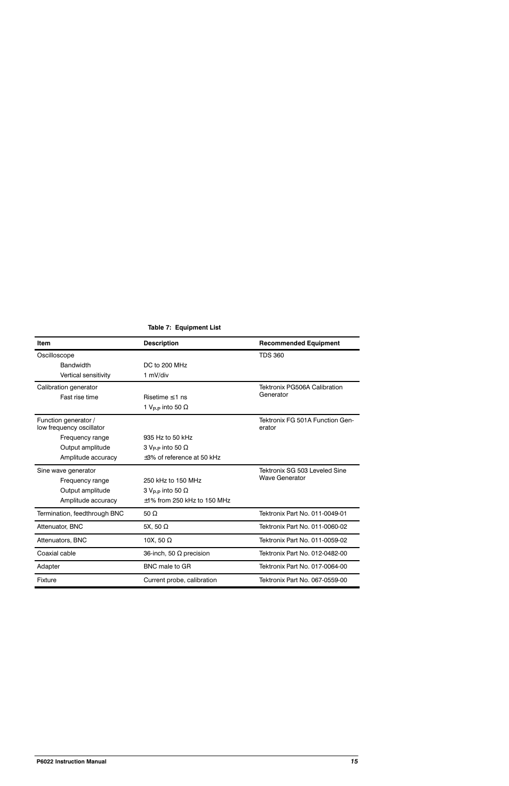| <b>Item</b>                                      | <b>Description</b>                  | <b>Recommended Equipment</b>              |
|--------------------------------------------------|-------------------------------------|-------------------------------------------|
| Oscilloscope                                     |                                     | <b>TDS 360</b>                            |
| <b>Bandwidth</b>                                 | DC to 200 MHz                       |                                           |
| Vertical sensitivity                             | 1 mV/div                            |                                           |
| Calibration generator                            |                                     | <b>Tektronix PG506A Calibration</b>       |
| Fast rise time                                   | Risetime $\leq 1$ ns                | Generator                                 |
|                                                  | 1 V <sub>P-P</sub> into 50 $\Omega$ |                                           |
| Function generator /<br>low frequency oscillator |                                     | Tektronix FG 501A Function Gen-<br>erator |
| Frequency range                                  | 935 Hz to 50 kHz                    |                                           |
| Output amplitude                                 | 3 V <sub>P-P</sub> into 50 $\Omega$ |                                           |
| Amplitude accuracy                               | $\pm 3$ % of reference at 50 kHz    |                                           |
| Sine wave generator                              |                                     | Tektronix SG 503 Leveled Sine             |
| Frequency range                                  | 250 kHz to 150 MHz                  | <b>Wave Generator</b>                     |
| Output amplitude                                 | 3 V <sub>P-P</sub> into 50 $\Omega$ |                                           |
| Amplitude accuracy                               | $\pm$ 1% from 250 kHz to 150 MHz    |                                           |
| Termination, feedthrough BNC                     | 50 $\Omega$                         | Tektronix Part No. 011-0049-01            |
| Attenuator, BNC                                  | 5X, 50 $\Omega$                     | Tektronix Part No. 011-0060-02            |
| Attenuators, BNC                                 | 10X, 50 $\Omega$                    | Tektronix Part No. 011-0059-02            |
| Coaxial cable                                    | 36-inch, 50 $\Omega$ precision      | Tektronix Part No. 012-0482-00            |
| Adapter                                          | <b>BNC</b> male to GR               | Tektronix Part No. 017-0064-00            |
| Fixture                                          | Current probe, calibration          | Tektronix Part No. 067-0559-00            |

# Table 7: Equipment List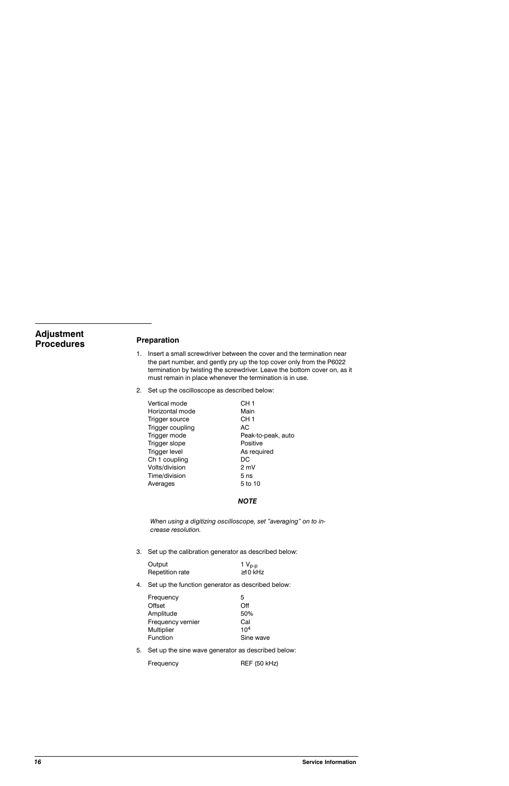# **Adjustment Procedures**

## Preparation

- 1. Insert a small screwdriver between the cover and the termination near the part number, and gently pry up the top cover only from the P6022 termination by twisting the screwdriver. Leave the bottom cover on, as it must remain in place whenever the termination is in use.
- 2. Set up the oscilloscope as described below:

| Vertical mode    | CH <sub>1</sub>    |
|------------------|--------------------|
| Horizontal mode  | Main               |
| Trigger source   | CH 1               |
| Trigger coupling | АC                 |
| Trigger mode     | Peak-to-peak, auto |
| Trigger slope    | Positive           |
| Trigger level    | As required        |
| Ch 1 coupling    | DC                 |
| Volts/division   | 2 mV               |
| Time/division    | 5 ns               |
| Averages         | 5 to 10            |

#### **NOTE**

When using a digitizing oscilloscope, set "averaging" on to increase resolution.

3. Set up the calibration generator as described below:

| Output          | 1 $V_{p-p}$   |
|-----------------|---------------|
| Repetition rate | $\geq$ 10 kHz |

4. Set up the function generator as described below:

| Sine wave |
|-----------|

5. Set up the sine wave generator as described below:

**REF (50 kHz)** Frequency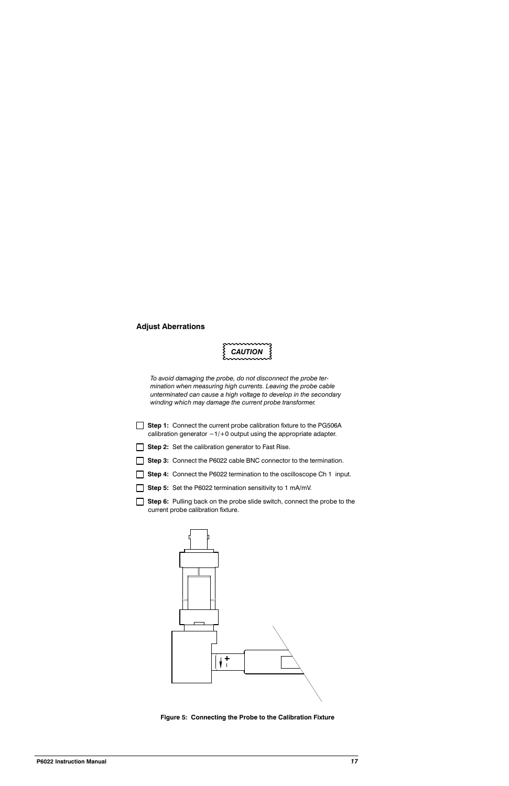## **Adjust Aberrations**



To avoid damaging the probe, do not disconnect the probe termination when measuring high currents. Leaving the probe cable unterminated can cause a high voltage to develop in the secondary winding which may damage the current probe transformer.

|              | Step 1: Connect the current probe calibration fixture to the PG506A<br>calibration generator $-1/+0$ output using the appropriate adapter. |
|--------------|--------------------------------------------------------------------------------------------------------------------------------------------|
| $\mathbf{I}$ | <b>Step 2:</b> Set the calibration generator to Fast Rise.                                                                                 |
|              | Step 3: Connect the P6022 cable BNC connector to the termination.                                                                          |
|              | <b>Step 4:</b> Connect the P6022 termination to the oscilloscope Ch 1 input.                                                               |
|              | Step 5: Set the P6022 termination sensitivity to 1 mA/mV.                                                                                  |

Step 6: Pulling back on the probe slide switch, connect the probe to the current probe calibration fixture.



Figure 5: Connecting the Probe to the Calibration Fixture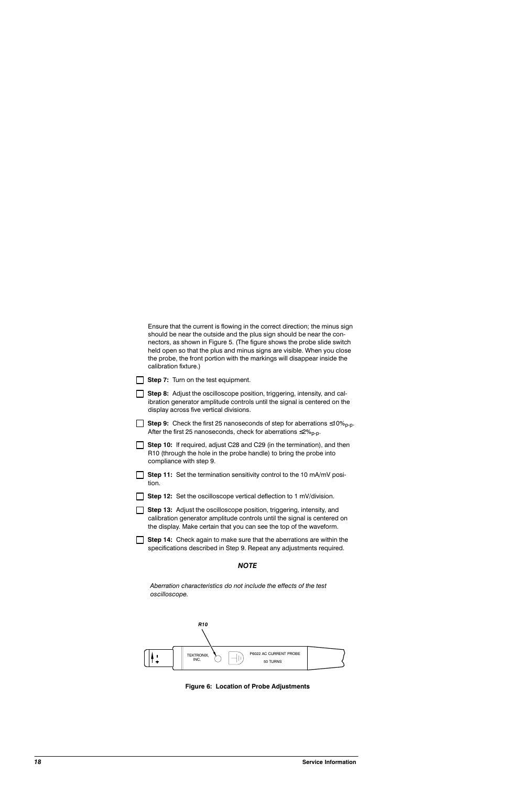| Ensure that the current is flowing in the correct direction; the minus sign<br>should be near the outside and the plus sign should be near the con-<br>nectors, as shown in Figure 5. (The figure shows the probe slide switch<br>held open so that the plus and minus signs are visible. When you close<br>the probe, the front portion with the markings will disappear inside the<br>calibration fixture.) |
|---------------------------------------------------------------------------------------------------------------------------------------------------------------------------------------------------------------------------------------------------------------------------------------------------------------------------------------------------------------------------------------------------------------|
| <b>Step 7:</b> Turn on the test equipment.                                                                                                                                                                                                                                                                                                                                                                    |
| Step 8: Adjust the oscilloscope position, triggering, intensity, and cal-<br>ibration generator amplitude controls until the signal is centered on the<br>display across five vertical divisions.                                                                                                                                                                                                             |
| <b>Step 9:</b> Check the first 25 nanoseconds of step for aberrations $\leq 10\%_{p-p}$<br>After the first 25 nanoseconds, check for aberrations $\leq 2\%_{D-D}$ .                                                                                                                                                                                                                                           |
| <b>Step 10:</b> If required, adjust C28 and C29 (in the termination), and then<br>R10 (through the hole in the probe handle) to bring the probe into<br>compliance with step 9.                                                                                                                                                                                                                               |
| Step 11: Set the termination sensitivity control to the 10 mA/mV posi-<br>tion.                                                                                                                                                                                                                                                                                                                               |
| Step 12: Set the oscilloscope vertical deflection to 1 mV/division.                                                                                                                                                                                                                                                                                                                                           |
| <b>Step 13:</b> Adjust the oscilloscope position, triggering, intensity, and<br>calibration generator amplitude controls until the signal is centered on<br>the display. Make certain that you can see the top of the waveform.                                                                                                                                                                               |
| Step 14: Check again to make sure that the aberrations are within the<br>specifications described in Step 9. Repeat any adjustments required.                                                                                                                                                                                                                                                                 |
| <b>NOTE</b>                                                                                                                                                                                                                                                                                                                                                                                                   |
| Aberration characteristics do not include the effects of the test<br>oscilloscope.                                                                                                                                                                                                                                                                                                                            |



Figure 6: Location of Probe Adjustments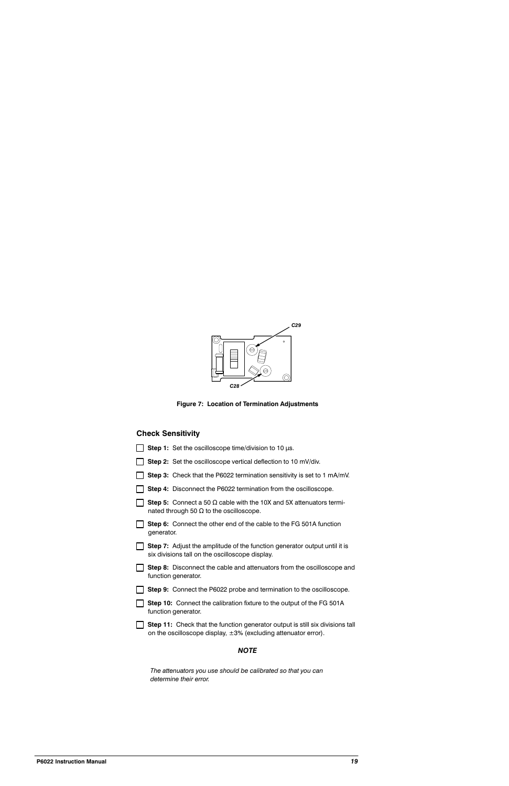

Figure 7: Location of Termination Adjustments

# **Check Sensitivity**

| Step 1: Set the oscilloscope time/division to 10 $\mu$ s.                                                                                                    |
|--------------------------------------------------------------------------------------------------------------------------------------------------------------|
| Step 2: Set the oscilloscope vertical deflection to 10 mV/div.                                                                                               |
| Step 3: Check that the P6022 termination sensitivity is set to 1 mA/mV.                                                                                      |
| Step 4: Disconnect the P6022 termination from the oscilloscope.                                                                                              |
| <b>Step 5:</b> Connect a 50 $\Omega$ cable with the 10X and 5X attenuators termi-<br>nated through 50 $\Omega$ to the oscilloscope.                          |
| Step 6: Connect the other end of the cable to the FG 501A function<br>generator.                                                                             |
| <b>Step 7:</b> Adjust the amplitude of the function generator output until it is<br>six divisions tall on the oscilloscope display.                          |
| Step 8: Disconnect the cable and attenuators from the oscilloscope and<br>function generator.                                                                |
| Step 9: Connect the P6022 probe and termination to the oscilloscope.                                                                                         |
| <b>Step 10:</b> Connect the calibration fixture to the output of the FG 501A<br>function generator.                                                          |
| <b>Step 11:</b> Check that the function generator output is still six divisions tall<br>on the oscilloscope display, $\pm 3$ % (excluding attenuator error). |
| <b>NOTE</b>                                                                                                                                                  |

The attenuators you use should be calibrated so that you can determine their error.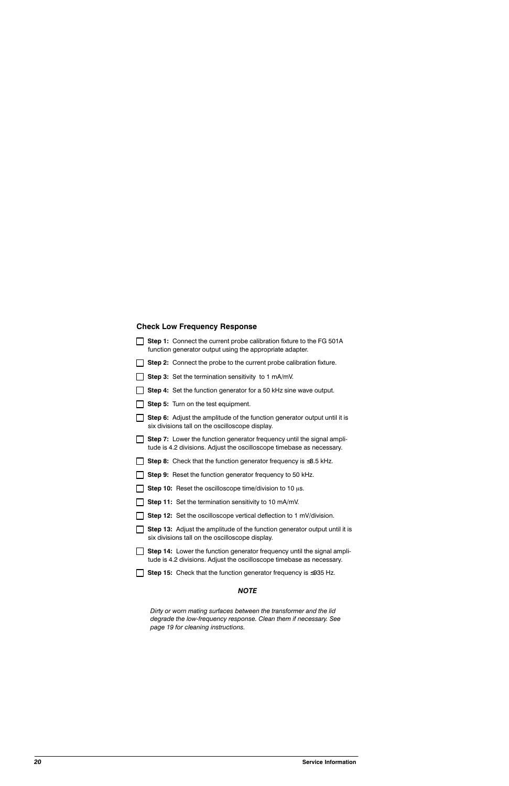# **Check Low Frequency Response**

| Step 1: Connect the current probe calibration fixture to the FG 501A<br>function generator output using the appropriate adapter.                       |
|--------------------------------------------------------------------------------------------------------------------------------------------------------|
| Step 2: Connect the probe to the current probe calibration fixture.                                                                                    |
| Step 3: Set the termination sensitivity to 1 mA/mV.                                                                                                    |
| Step 4: Set the function generator for a 50 kHz sine wave output.                                                                                      |
| <b>Step 5:</b> Turn on the test equipment.                                                                                                             |
| Step 6: Adjust the amplitude of the function generator output until it is<br>six divisions tall on the oscilloscope display.                           |
| <b>Step 7:</b> Lower the function generator frequency until the signal ampli-<br>tude is 4.2 divisions. Adjust the oscilloscope timebase as necessary. |
| Step 8: Check that the function generator frequency is $\leq$ 8.5 kHz.                                                                                 |
| Step 9: Reset the function generator frequency to 50 kHz.                                                                                              |
| <b>Step 10:</b> Reset the oscilloscope time/division to 10 $\mu$ s.                                                                                    |
| Step 11: Set the termination sensitivity to 10 mA/mV.                                                                                                  |
| Step 12: Set the oscilloscope vertical deflection to 1 mV/division.                                                                                    |
| Step 13: Adjust the amplitude of the function generator output until it is<br>six divisions tall on the oscilloscope display.                          |
| Step 14: Lower the function generator frequency until the signal ampli-<br>tude is 4.2 divisions. Adjust the oscilloscope timebase as necessary.       |
| <b>Step 15:</b> Check that the function generator frequency is $\leq$ 935 Hz.                                                                          |

#### **NOTE**

Dirty or worn mating surfaces between the transformer and the lid degrade the low-frequency response. Clean them if necessary. See page 19 for cleaning instructions.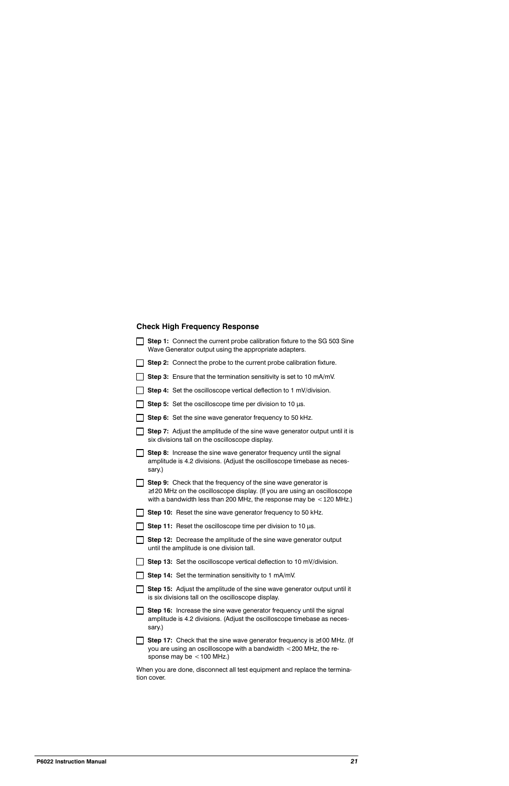# **Check High Frequency Response**

|                 | Step 1: Connect the current probe calibration fixture to the SG 503 Sine<br>Wave Generator output using the appropriate adapters.                                                                                       |
|-----------------|-------------------------------------------------------------------------------------------------------------------------------------------------------------------------------------------------------------------------|
| LI              | Step 2: Connect the probe to the current probe calibration fixture.                                                                                                                                                     |
|                 | Step 3: Ensure that the termination sensitivity is set to 10 mA/mV.                                                                                                                                                     |
|                 | Step 4: Set the oscilloscope vertical deflection to 1 mV/division.                                                                                                                                                      |
|                 | Step 5: Set the oscilloscope time per division to 10 $\mu$ s.                                                                                                                                                           |
|                 | Step 6: Set the sine wave generator frequency to 50 kHz.                                                                                                                                                                |
|                 | Step 7: Adjust the amplitude of the sine wave generator output until it is<br>six divisions tall on the oscilloscope display.                                                                                           |
|                 | Step 8: Increase the sine wave generator frequency until the signal<br>amplitude is 4.2 divisions. (Adjust the oscilloscope timebase as neces-<br>sary.)                                                                |
|                 | Step 9: Check that the frequency of the sine wave generator is<br>$\ge$ 120 MHz on the oscilloscope display. (If you are using an oscilloscope<br>with a bandwidth less than 200 MHz, the response may be $<$ 120 MHz.) |
|                 | Step 10: Reset the sine wave generator frequency to 50 kHz.                                                                                                                                                             |
|                 | Step 11: Reset the oscilloscope time per division to 10 $\mu$ s.                                                                                                                                                        |
| <b>Contract</b> | Step 12: Decrease the amplitude of the sine wave generator output<br>until the amplitude is one division tall.                                                                                                          |
|                 | Step 13: Set the oscilloscope vertical deflection to 10 mV/division.                                                                                                                                                    |
|                 | Step 14: Set the termination sensitivity to 1 mA/mV.                                                                                                                                                                    |
|                 | Step 15: Adjust the amplitude of the sine wave generator output until it<br>is six divisions tall on the oscilloscope display.                                                                                          |
|                 | Step 16: Increase the sine wave generator frequency until the signal<br>amplitude is 4.2 divisions. (Adjust the oscilloscope timebase as neces-<br>sary.)                                                               |
|                 | <b>Step 17:</b> Check that the sine wave generator frequency is $\geq$ 100 MHz. (If<br>you are using an oscilloscope with a bandwidth < 200 MHz, the re-<br>sponse may be $<$ 100 MHz.)                                 |
|                 | When you are done, disconnect all test equipment and replace the termina-<br>tion cover.                                                                                                                                |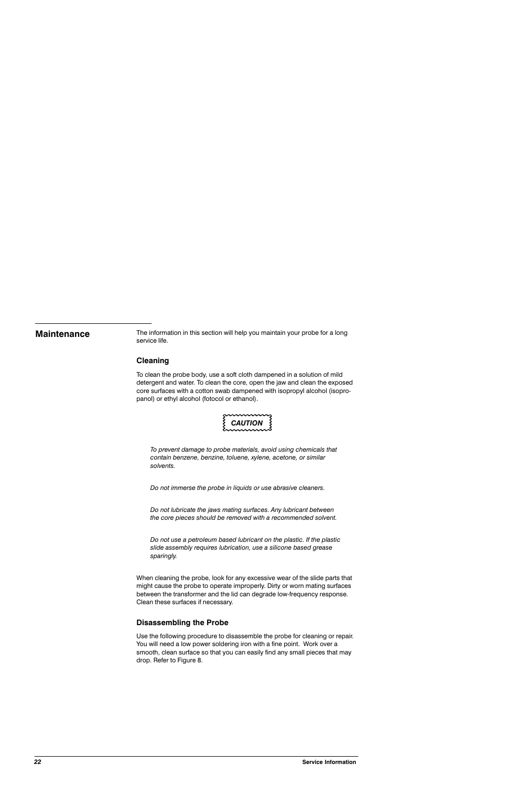# **Maintenance**

The information in this section will help you maintain your probe for a long service life.

#### **Cleaning**

To clean the probe body, use a soft cloth dampened in a solution of mild detergent and water. To clean the core, open the jaw and clean the exposed core surfaces with a cotton swab dampened with isopropyl alcohol (isopropanol) or ethyl alcohol (fotocol or ethanol).



To prevent damage to probe materials, avoid using chemicals that contain benzene, benzine, toluene, xylene, acetone, or similar solvents.

Do not immerse the probe in liquids or use abrasive cleaners.

Do not lubricate the jaws mating surfaces. Any lubricant between the core pieces should be removed with a recommended solvent.

Do not use a petroleum based lubricant on the plastic. If the plastic slide assembly requires lubrication, use a silicone based grease sparingly.

When cleaning the probe, look for any excessive wear of the slide parts that might cause the probe to operate improperly. Dirty or worn mating surfaces between the transformer and the lid can degrade low-frequency response. Clean these surfaces if necessary.

#### **Disassembling the Probe**

Use the following procedure to disassemble the probe for cleaning or repair. You will need a low power soldering iron with a fine point. Work over a smooth, clean surface so that you can easily find any small pieces that may drop. Refer to Figure 8.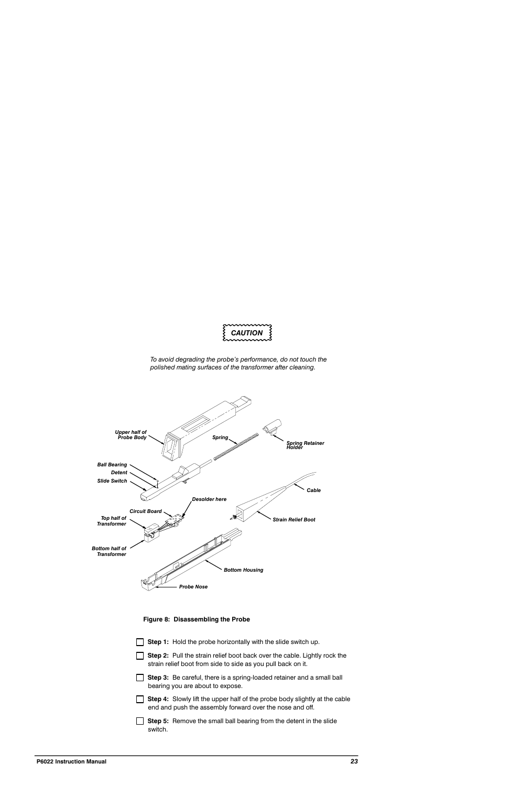

To avoid degrading the probe's performance, do not touch the polished mating surfaces of the transformer after cleaning.



Figure 8: Disassembling the Probe

| Step 1: Hold the probe horizontally with the slide switch up.                                                                                 |
|-----------------------------------------------------------------------------------------------------------------------------------------------|
| Step 2: Pull the strain relief boot back over the cable. Lightly rock the<br>strain relief boot from side to side as you pull back on it.     |
| <b>Step 3:</b> Be careful, there is a spring-loaded retainer and a small ball<br>bearing you are about to expose.                             |
| <b>Step 4:</b> Slowly lift the upper half of the probe body slightly at the cable<br>end and push the assembly forward over the nose and off. |
| <b>Step 5:</b> Remove the small ball bearing from the detent in the slide<br>switch                                                           |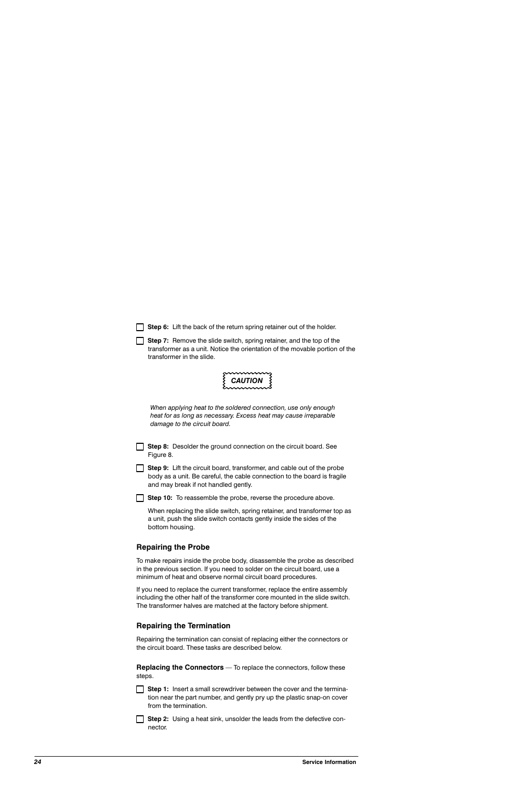|  |  | Step 6: Lift the back of the return spring retainer out of the holder. |  |  |  |  |  |
|--|--|------------------------------------------------------------------------|--|--|--|--|--|
|--|--|------------------------------------------------------------------------|--|--|--|--|--|

Step 7: Remove the slide switch, spring retainer, and the top of the transformer as a unit. Notice the orientation of the movable portion of the transformer in the slide.

**CAUTION** 

When applying heat to the soldered connection, use only enough heat for as long as necessary. Excess heat may cause irreparable damage to the circuit board.

Step 8: Desolder the ground connection on the circuit board. See Figure 8.

Step 9: Lift the circuit board, transformer, and cable out of the probe body as a unit. Be careful, the cable connection to the board is fragile and may break if not handled gently.

 $\Box$  Step 10: To reassemble the probe, reverse the procedure above.

When replacing the slide switch, spring retainer, and transformer top as a unit, push the slide switch contacts gently inside the sides of the bottom housing.

## **Repairing the Probe**

To make repairs inside the probe body, disassemble the probe as described in the previous section. If you need to solder on the circuit board, use a minimum of heat and observe normal circuit board procedures.

If you need to replace the current transformer, replace the entire assembly including the other half of the transformer core mounted in the slide switch. The transformer halves are matched at the factory before shipment.

## **Repairing the Termination**

Repairing the termination can consist of replacing either the connectors or the circuit board. These tasks are described below.

**Replacing the Connectors** - To replace the connectors, follow these steps.

**Step 1:** Insert a small screwdriver between the cover and the termination near the part number, and gently pry up the plastic snap-on cover from the termination.

Step 2: Using a heat sink, unsolder the leads from the defective connector.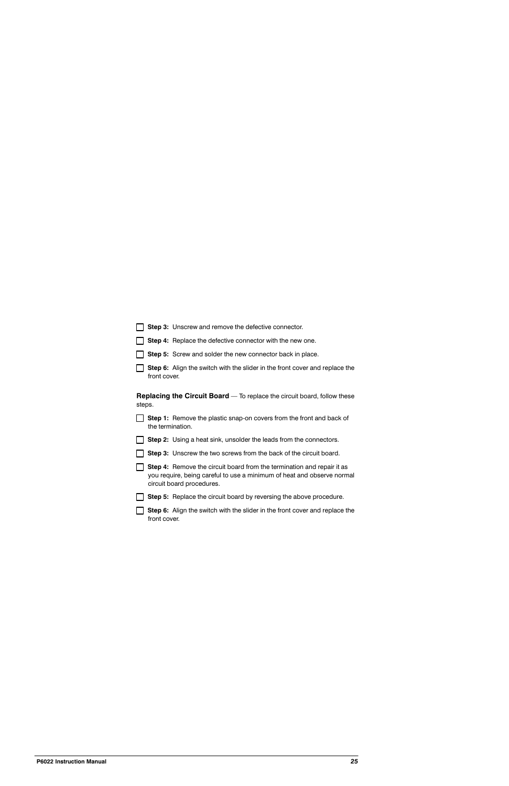|        | Step 3: Unscrew and remove the defective connector.                                                                                                                                  |
|--------|--------------------------------------------------------------------------------------------------------------------------------------------------------------------------------------|
|        | Step 4: Replace the defective connector with the new one.                                                                                                                            |
|        | Step 5: Screw and solder the new connector back in place.                                                                                                                            |
|        | Step 6: Align the switch with the slider in the front cover and replace the                                                                                                          |
| steps. | <b>Replacing the Circuit Board</b> — To replace the circuit board, follow these                                                                                                      |
|        | <b>Step 1:</b> Remove the plastic snap-on covers from the front and back of                                                                                                          |
|        | <b>Step 2:</b> Using a heat sink, unsolder the leads from the connectors.                                                                                                            |
|        | Step 3: Unscrew the two screws from the back of the circuit board.                                                                                                                   |
|        | <b>Step 4:</b> Remove the circuit board from the termination and repair it as<br>you require, being careful to use a minimum of heat and observe normal<br>circuit board procedures. |
|        | <b>Step 5:</b> Replace the circuit board by reversing the above procedure.                                                                                                           |
|        | Step 6: Align the switch with the slider in the front cover and replace the                                                                                                          |
|        | front cover.<br>the termination.<br>front cover.                                                                                                                                     |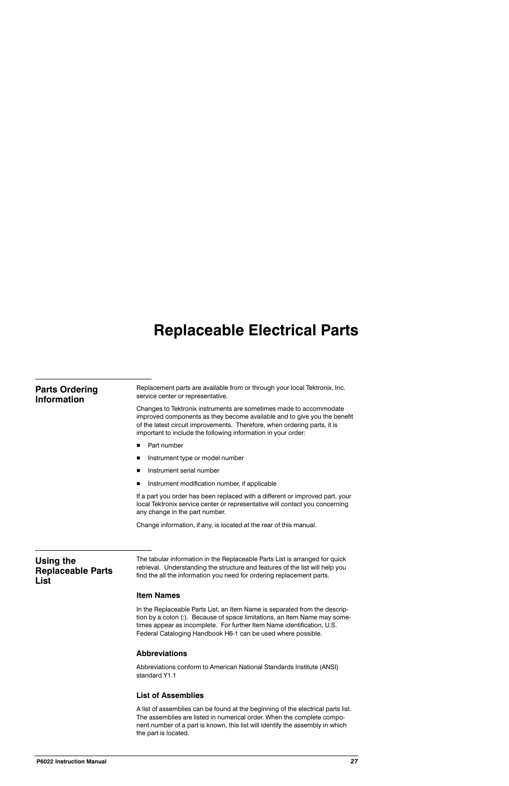# **Replaceable Electrical Parts**

| <b>Parts Ordering</b><br><b>Information</b>   | Replacement parts are available from or through your local Tektronix, Inc.<br>service center or representative.                                                                                                                                                                                   |  |  |  |  |
|-----------------------------------------------|---------------------------------------------------------------------------------------------------------------------------------------------------------------------------------------------------------------------------------------------------------------------------------------------------|--|--|--|--|
|                                               | Changes to Tektronix instruments are sometimes made to accommodate<br>improved components as they become available and to give you the benefit<br>of the latest circuit improvements. Therefore, when ordering parts, it is<br>important to include the following information in your order:      |  |  |  |  |
|                                               | Part number<br>П                                                                                                                                                                                                                                                                                  |  |  |  |  |
|                                               | Instrument type or model number<br>■                                                                                                                                                                                                                                                              |  |  |  |  |
|                                               | Instrument serial number<br>п                                                                                                                                                                                                                                                                     |  |  |  |  |
|                                               | Instrument modification number, if applicable<br>п                                                                                                                                                                                                                                                |  |  |  |  |
|                                               | If a part you order has been replaced with a different or improved part, your<br>local Tektronix service center or representative will contact you concerning<br>any change in the part number.                                                                                                   |  |  |  |  |
|                                               | Change information, if any, is located at the rear of this manual.                                                                                                                                                                                                                                |  |  |  |  |
| Using the<br><b>Replaceable Parts</b><br>List | The tabular information in the Replaceable Parts List is arranged for quick<br>retrieval. Understanding the structure and features of the list will help you<br>find the all the information you need for ordering replacement parts.                                                             |  |  |  |  |
|                                               | <b>Item Names</b>                                                                                                                                                                                                                                                                                 |  |  |  |  |
|                                               | In the Replaceable Parts List, an Item Name is separated from the descrip-<br>tion by a colon (:). Because of space limitations, an Item Name may some-<br>times appear as incomplete. For further Item Name identification, U.S.<br>Federal Cataloging Handbook H6-1 can be used where possible. |  |  |  |  |
|                                               | <b>Abbreviations</b>                                                                                                                                                                                                                                                                              |  |  |  |  |
|                                               | Abbreviations conform to American National Standards Institute (ANSI)<br>standard Y1.1                                                                                                                                                                                                            |  |  |  |  |
|                                               | <b>List of Assemblies</b>                                                                                                                                                                                                                                                                         |  |  |  |  |

A list of assemblies can be found at the beginning of the electrical parts list. The assemblies are listed in numerical order. When the complete component number of a part is known, this list will identify the assembly in which the part is located.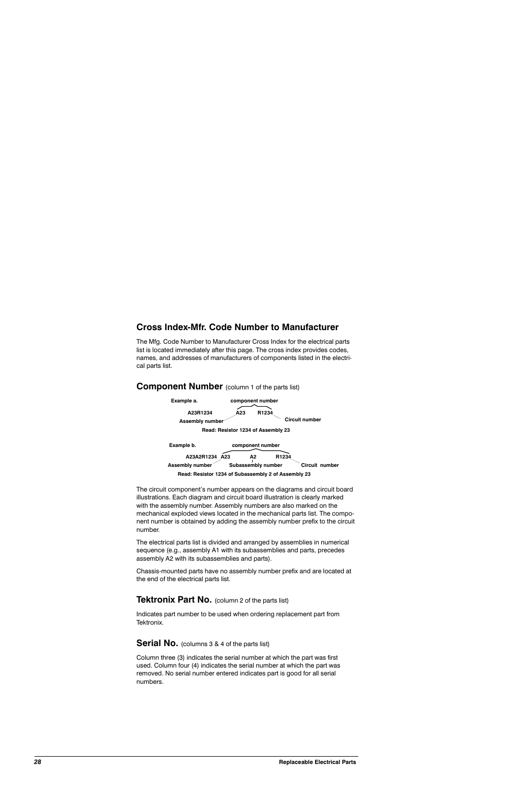# **Cross Index-Mfr. Code Number to Manufacturer**

The Mfg. Code Number to Manufacturer Cross Index for the electrical parts list is located immediately after this page. The cross index provides codes, names, and addresses of manufacturers of components listed in the electrical parts list.

# **Component Number** (column 1 of the parts list)



The circuit component's number appears on the diagrams and circuit board illustrations. Each diagram and circuit board illustration is clearly marked with the assembly number. Assembly numbers are also marked on the mechanical exploded views located in the mechanical parts list. The component number is obtained by adding the assembly number prefix to the circuit number.

The electrical parts list is divided and arranged by assemblies in numerical sequence (e.g., assembly A1 with its subassemblies and parts, precedes assembly A2 with its subassemblies and parts).

Chassis-mounted parts have no assembly number prefix and are located at the end of the electrical parts list.

## **Tektronix Part No.** (column 2 of the parts list)

Indicates part number to be used when ordering replacement part from Tektronix.

#### **Serial No.** (columns 3 & 4 of the parts list)

Column three (3) indicates the serial number at which the part was first used. Column four (4) indicates the serial number at which the part was removed. No serial number entered indicates part is good for all serial numbers.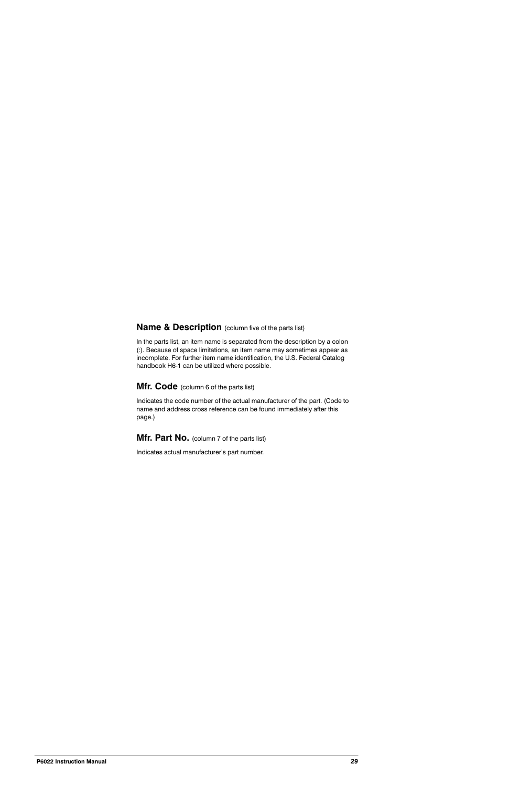# **Name & Description** (column five of the parts list)

In the parts list, an item name is separated from the description by a colon (:). Because of space limitations, an item name may sometimes appear as incomplete. For further item name identification, the U.S. Federal Catalog handbook H6-1 can be utilized where possible.

# Mfr. Code (column 6 of the parts list)

Indicates the code number of the actual manufacturer of the part. (Code to name and address cross reference can be found immediately after this page.)

Mfr. Part No. (column 7 of the parts list)

Indicates actual manufacturer's part number.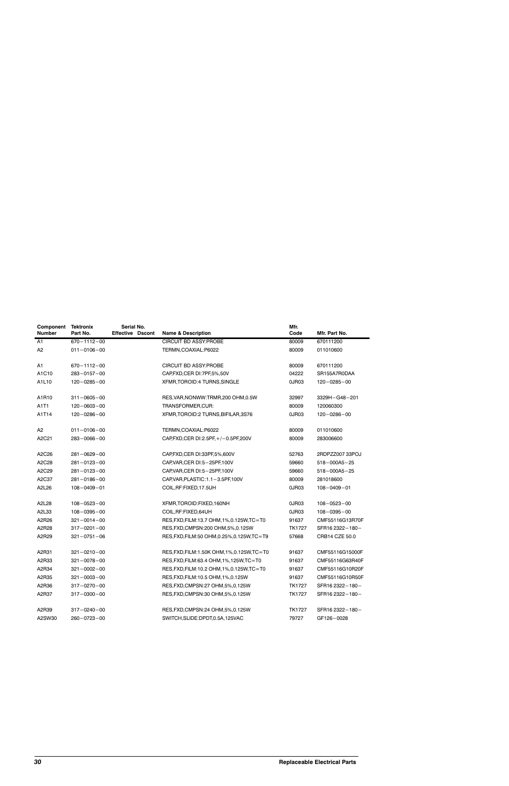| Component<br><b>Number</b> | <b>Tektronix</b><br>Part No. | Serial No.<br><b>Effective Dscont</b> | <b>Name &amp; Description</b>                | Mfr.<br>Code  | Mfr. Part No.      |
|----------------------------|------------------------------|---------------------------------------|----------------------------------------------|---------------|--------------------|
| A1                         | $670 - 1112 - 00$            |                                       | <b>CIRCUIT BD ASSY: PROBE</b>                | 80009         | 670111200          |
| A <sub>2</sub>             | $011 - 0106 - 00$            |                                       | TERMN, COAXIAL: P6022                        | 80009         | 011010600          |
| A1                         | $670 - 1112 - 00$            |                                       | <b>CIRCUIT BD ASSY: PROBE</b>                | 80009         | 670111200          |
| A1C10                      | 283-0157-00                  |                                       | CAP, FXD, CER DI: 7PF, 5%, 50V               | 04222         | SR155A7R0DAA       |
| A1L10                      | $120 - 0285 - 00$            |                                       | XFMR, TOROID: 4 TURNS, SINGLE                | 0JR03         | $120 - 0285 - 00$  |
| A1R10                      | $311 - 0605 - 00$            |                                       | RES, VAR, NONWW: TRMR, 200 OHM, 0.5W         | 32997         | 3329H-G48-201      |
| A1T1                       | $120 - 0603 - 00$            |                                       | TRANSFORMER,CUR:                             | 80009         | 120060300          |
| A1T14                      | $120 - 0286 - 00$            |                                       | XFMR, TOROID: 2 TURNS, BIFILAR, 3S76         | 0JR03         | $120 - 0286 - 00$  |
| A <sub>2</sub>             | $011 - 0106 - 00$            |                                       | TERMN, COAXIAL: P6022                        | 80009         | 011010600          |
| A2C21                      | $283 - 0066 - 00$            |                                       | CAP, FXD, CER DI: 2.5PF, +/-0.5PF, 200V      | 80009         | 283006600          |
| A2C26                      | $281 - 0629 - 00$            |                                       | CAP, FXD, CER DI: 33PF, 5%, 600V             | 52763         | 2RDPZZ00733POJ     |
| A2C28                      | $281 - 0123 - 00$            |                                       | CAP, VAR, CER DI: 5-25PF, 100V               | 59660         | $518 - 000A5 - 25$ |
| A2C29                      | $281 - 0123 - 00$            |                                       | CAP, VAR, CER DI: 5-25PF, 100V               | 59660         | $518 - 000A5 - 25$ |
| A2C37                      | 281-0186-00                  |                                       | CAP, VAR, PLASTIC: 1.1-3.5PF, 100V           | 80009         | 281018600          |
| A2L26                      | $108 - 0409 - 01$            |                                       | COIL, RF: FIXED, 17.5UH                      | 0JR03         | $108 - 0409 - 01$  |
| A2L28                      | $108 - 0523 - 00$            |                                       | XFMR, TOROID: FIXED, 160NH                   | 0JR03         | $108 - 0523 - 00$  |
| A2L33                      | $108 - 0395 - 00$            |                                       | COIL, RF: FIXED, 64UH                        | 0JR03         | $108 - 0395 - 00$  |
| A2R26                      | $321 - 0014 - 00$            |                                       | RES, FXD, FILM: 13.7 OHM, 1%, 0.125W, TC=T0  | 91637         | CMF55116G13R70F    |
| A2R28                      | $317 - 0201 - 00$            |                                       | RES, FXD, CMPSN: 200 OHM, 5%, 0.125W         | TK1727        | SFR16 2322-180-    |
| A2R29                      | $321 - 0751 - 06$            |                                       | RES, FXD, FILM: 50 OHM, 0.25%, 0.125W, TC=T9 | 57668         | CRB14 CZE 50.0     |
| A2R31                      | $321 - 0210 - 00$            |                                       | RES, FXD, FILM: 1.50K OHM, 1%, 0.125W, TC=T0 | 91637         | CMF55116G15000F    |
| A2R33                      | $321 - 0078 - 00$            |                                       | RES, FXD, FILM: 63.4 OHM, 1%, 125W, TC=T0    | 91637         | CMF55116G63R40F    |
| A2R34                      | $321 - 0002 - 00$            |                                       | RES, FXD, FILM: 10.2 OHM, 1%, 0.125W, TC=T0  | 91637         | CMF55116G10R20F    |
| A2R35                      | $321 - 0003 - 00$            |                                       | RES, FXD, FILM: 10.5 OHM, 1%, 0.125W         | 91637         | CMF55116G10R50F    |
| A2R36                      | $317 - 0270 - 00$            |                                       | RES, FXD, CMPSN: 27 OHM, 5%, 0.125W          | <b>TK1727</b> | SFR16 2322-180-    |
| A2R37                      | $317 - 0300 - 00$            |                                       | RES, FXD, CMPSN: 30 OHM, 5%, 0.125W          | <b>TK1727</b> | SFR16 2322-180-    |
| A2R39                      | 317-0240-00                  |                                       | RES, FXD, CMPSN: 24 OHM, 5%, 0.125W          | TK1727        | SFR16 2322-180-    |
| A2SW30                     | $260 - 0723 - 00$            |                                       | SWITCH, SLIDE: DPDT, 0.5A, 125VAC            | 79727         | GF126-0028         |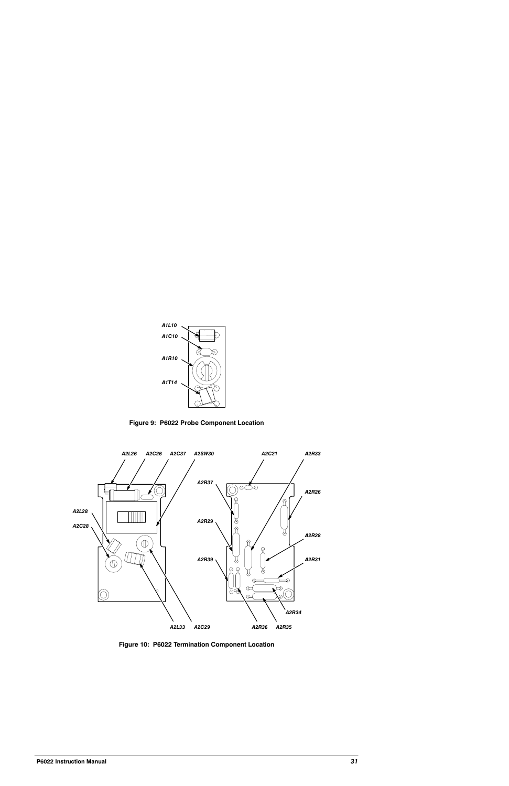

Figure 9: P6022 Probe Component Location



Figure 10: P6022 Termination Component Location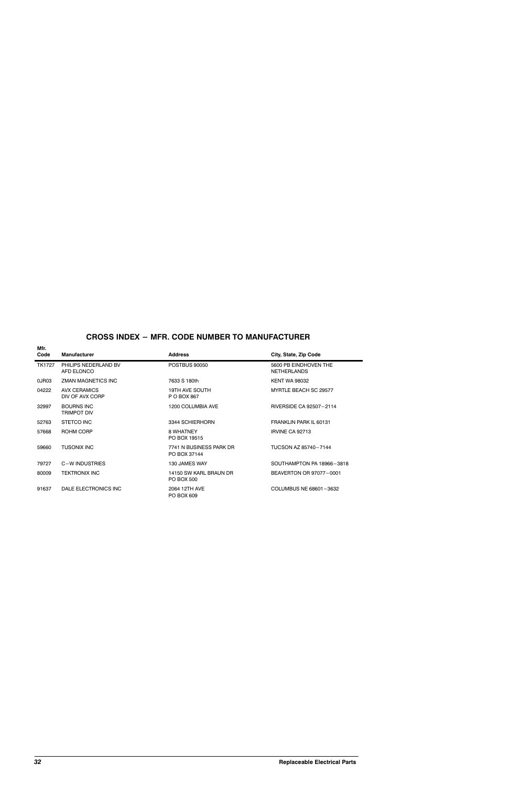# **CROSS INDEX - MFR. CODE NUMBER TO MANUFACTURER**

| Mfr.<br>Code  | <b>Manufacturer</b>                    | <b>Address</b>                          | City, State, Zip Code                       |
|---------------|----------------------------------------|-----------------------------------------|---------------------------------------------|
| <b>TK1727</b> | PHILIPS NEDERLAND BV<br>AFD ELONCO     | <b>POSTBUS 90050</b>                    | 5600 PB EINDHOVEN THE<br><b>NETHERLANDS</b> |
| 0JR03         | ZMAN MAGNETICS INC                     | 7633 S 180th                            | <b>KENT WA 98032</b>                        |
| 04222         | <b>AVX CERAMICS</b><br>DIV OF AVX CORP | <b>19TH AVE SOUTH</b><br>P O BOX 867    | MYRTLE BEACH SC 29577                       |
| 32997         | <b>BOURNS INC</b><br>TRIMPOT DIV       | 1200 COLUMBIA AVE                       | RIVERSIDE CA 92507-2114                     |
| 52763         | STETCO INC                             | 3344 SCHIERHORN                         | FRANKLIN PARK IL 60131                      |
| 57668         | ROHM CORP                              | 8 WHATNEY<br>PO BOX 19515               | <b>IRVINE CA 92713</b>                      |
| 59660         | <b>TUSONIX INC</b>                     | 7741 N BUSINESS PARK DR<br>PO BOX 37144 | TUCSON AZ 85740-7144                        |
| 79727         | C-W INDUSTRIES                         | 130 JAMES WAY                           | SOUTHAMPTON PA 18966-3818                   |
| 80009         | <b>TEKTRONIX INC</b>                   | 14150 SW KARL BRAUN DR<br>PO BOX 500    | BEAVERTON OR 97077-0001                     |
| 91637         | DALE ELECTRONICS INC                   | 2064 12TH AVE<br>PO BOX 609             | COLUMBUS NE 68601-3632                      |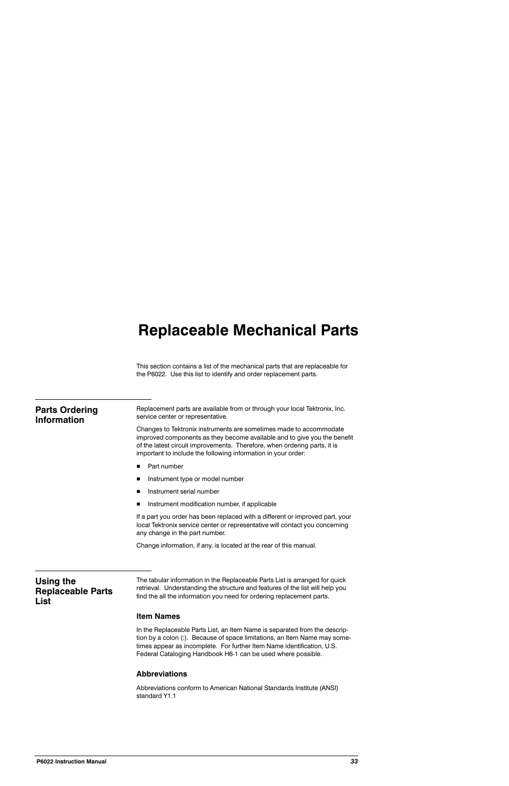# **Replaceable Mechanical Parts**

This section contains a list of the mechanical parts that are replaceable for the P6022. Use this list to identify and order replacement parts.

| <b>Parts Ordering</b><br><b>Information</b> | Replacement parts are available from or through your local Tektronix, Inc.<br>service center or representative.                                                                                                                                                                              |
|---------------------------------------------|----------------------------------------------------------------------------------------------------------------------------------------------------------------------------------------------------------------------------------------------------------------------------------------------|
|                                             | Changes to Tektronix instruments are sometimes made to accommodate<br>improved components as they become available and to give you the benefit<br>of the latest circuit improvements. Therefore, when ordering parts, it is<br>important to include the following information in your order: |
|                                             | Part number<br>■                                                                                                                                                                                                                                                                             |
|                                             | Instrument type or model number<br>п                                                                                                                                                                                                                                                         |
|                                             | Instrument serial number<br>п                                                                                                                                                                                                                                                                |
|                                             | Instrument modification number, if applicable<br>п                                                                                                                                                                                                                                           |
|                                             | If a part you order has been replaced with a different or improved part, your<br>local Tektronix service center or representative will contact you concerning<br>any change in the part number.                                                                                              |
|                                             | Change information, if any, is located at the rear of this manual.                                                                                                                                                                                                                           |
| Using the                                   | The tabular information in the Replaceable Parts List is arranged for quick                                                                                                                                                                                                                  |
| <b>Replaceable Parts</b><br><b>List</b>     | retrieval. Understanding the structure and features of the list will help you<br>find the all the information you need for ordering replacement parts.                                                                                                                                       |
|                                             | <b>Item Names</b>                                                                                                                                                                                                                                                                            |

In the Replaceable Parts List, an Item Name is separated from the description by a colon (:). Because of space limitations, an Item Name may sometimes appear as incomplete. For further Item Name identification, U.S. Federal Cataloging Handbook H6-1 can be used where possible.

#### **Abbreviations**

Abbreviations conform to American National Standards Institute (ANSI) standard Y1.1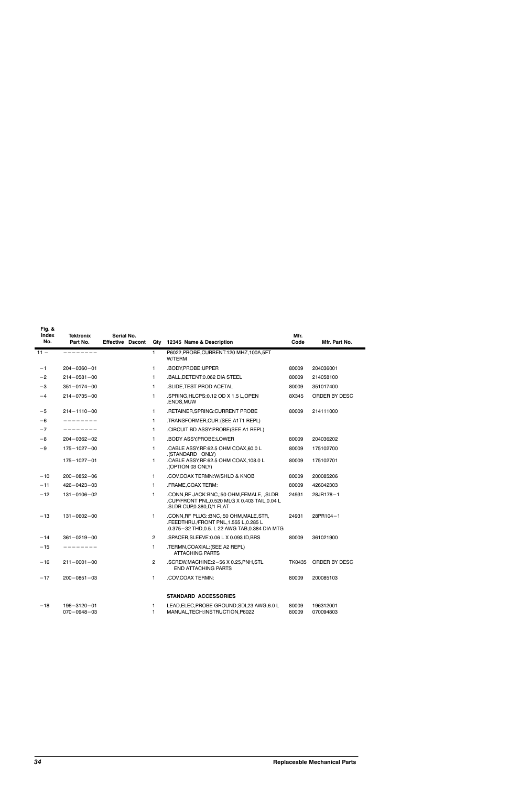| Fig. &<br>Index<br>No. | <b>Tektronix</b><br>Part No.           | Serial No.<br><b>Effective Dscont</b> |                | Qty 12345 Name & Description                                                                                                       | Mfr.<br>Code   | Mfr. Part No.          |
|------------------------|----------------------------------------|---------------------------------------|----------------|------------------------------------------------------------------------------------------------------------------------------------|----------------|------------------------|
| $11 -$                 | ---------                              |                                       | 1              | P6022, PROBE, CURRENT: 120 MHZ, 100A, 5FT<br>W/TERM                                                                                |                |                        |
| $-1$                   | $204 - 0360 - 01$                      |                                       | 1              | .BODY,PROBE:UPPER                                                                                                                  | 80009          | 204036001              |
| $-2$                   | $214 - 0581 - 00$                      |                                       | 1              | .BALL, DETENT: 0.062 DIA STEEL                                                                                                     | 80009          | 214058100              |
| $-3$                   | $351 - 0174 - 00$                      |                                       | 1.             | .SLIDE, TEST PROD: ACETAL                                                                                                          | 80009          | 351017400              |
| $-4$                   | $214 - 0735 - 00$                      |                                       | 1              | .SPRING, HLCPS: 0.12 OD X 1.5 L, OPEN<br>.ENDS,MUW                                                                                 | 8X345          | ORDER BY DESC          |
| $-5$                   | $214 - 1110 - 00$                      |                                       | 1.             | .RETAINER, SPRING: CURRENT PROBE                                                                                                   | 80009          | 214111000              |
| $-6$                   | ---------                              |                                       | 1              | .TRANSFORMER, CUR: (SEE A1T1 REPL)                                                                                                 |                |                        |
| $-7$                   | ---------                              |                                       | 1              | CIRCUIT BD ASSY:PROBE(SEE A1 REPL)                                                                                                 |                |                        |
| -8                     | $204 - 0362 - 02$                      |                                       | 1              | .BODY ASSY, PROBE: LOWER                                                                                                           | 80009          | 204036202              |
| $-9$                   | $175 - 1027 - 00$                      |                                       | 1.             | .CABLE ASSY, RF: 62.5 OHM COAX, 60.0 L                                                                                             | 80009          | 175102700              |
|                        | $175 - 1027 - 01$                      |                                       | 1.             | .(STANDARD ONLY)<br>.CABLE ASSY, RF: 62.5 OHM COAX, 108.0 L<br>(OPTION 03 ONLY).                                                   | 80009          | 175102701              |
| $-10$                  | $200 - 0852 - 06$                      |                                       | $\mathbf{1}$   | .COV,COAX TERMN:W/SHLD & KNOB                                                                                                      | 80009          | 200085206              |
| $-11$                  | $426 - 0423 - 03$                      |                                       | 1.             | .FRAME, COAX TERM:                                                                                                                 | 80009          | 426042303              |
| $-12$                  | $131 - 0106 - 02$                      |                                       | 1.             | .CONN, RF JACK: BNC, ;50 OHM, FEMALE, , SLDR<br>.CUP/FRONT PNL, 0.520 MLG X 0.403 TAIL, 0.04 L<br>.SLDR CUP, 0.380, D/1 FLAT       | 24931          | 28JR178-1              |
| $-13$                  | $131 - 0602 - 00$                      |                                       | 1.             | .CONN, RF PLUG:: BNC, ;50 OHM, MALE, STR,<br>.FEEDTHRU./FRONT PNL,1.555 L,0.285 L<br>.0.375-32 THD,0.5. L 22 AWG TAB,0.384 DIA MTG | 24931          | 28PR104-1              |
| $-14$                  | $361 - 0219 - 00$                      |                                       | $\overline{2}$ | .SPACER, SLEEVE: 0.06 L X 0.093 ID, BRS                                                                                            | 80009          | 361021900              |
| $-15$                  | ---------                              |                                       | 1.             | .TERMN, COAXIAL: (SEE A2 REPL)<br><b>ATTACHING PARTS</b>                                                                           |                |                        |
| $-16$                  | $211 - 0001 - 00$                      |                                       | $\overline{2}$ | .SCREW, MACHINE: 2-56 X 0.25, PNH, STL<br><b>END ATTACHING PARTS</b>                                                               | TK0435         | ORDER BY DESC          |
| $-17$                  | $200 - 0851 - 03$                      |                                       | 1.             | .COV,COAX TERMN:                                                                                                                   | 80009          | 200085103              |
|                        |                                        |                                       |                | <b>STANDARD ACCESSORIES</b>                                                                                                        |                |                        |
| $-18$                  | $196 - 3120 - 01$<br>$070 - 0948 - 03$ |                                       | 1<br>1         | LEAD, ELEC, PROBE GROUND; SDI, 23 AWG, 6.0 L<br>MANUAL, TECH: INSTRUCTION, P6022                                                   | 80009<br>80009 | 196312001<br>070094803 |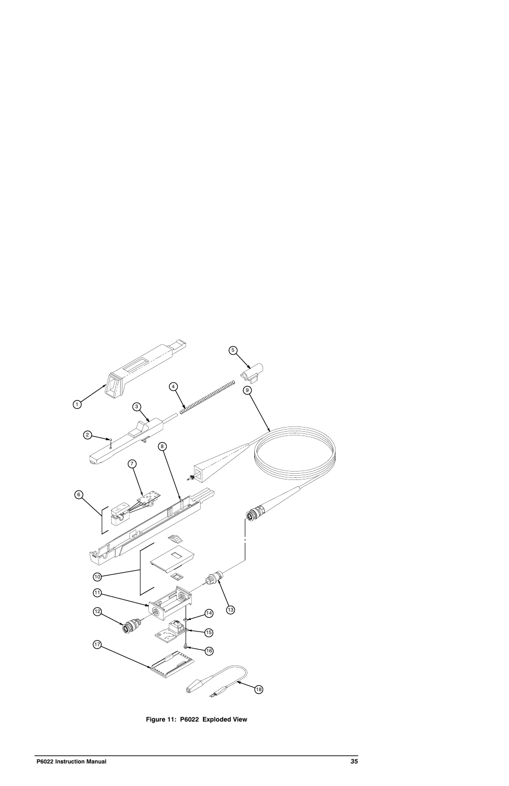

Figure 11: P6022 Exploded View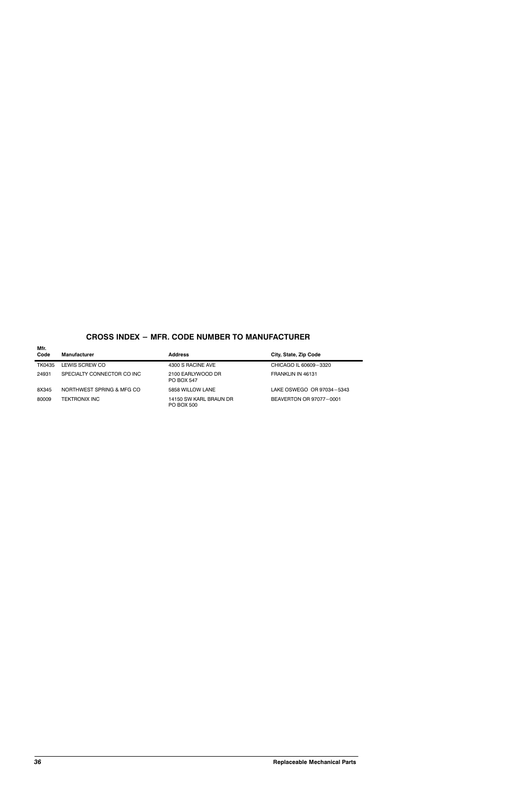# **CROSS INDEX - MFR. CODE NUMBER TO MANUFACTURER**

| Mfr.<br>Code | <b>Manufacturer</b>        | <b>Address</b>                         | City, State, Zip Code     |
|--------------|----------------------------|----------------------------------------|---------------------------|
| TK0435       | LEWIS SCREW CO             | 4300 S RACINE AVE                      | CHICAGO IL 60609-3320     |
| 24931        | SPECIALTY CONNECTOR CO INC | 2100 EARLYWOOD DR<br><b>PO BOX 547</b> | FRANKLIN IN 46131         |
| 8X345        | NORTHWEST SPRING & MFG CO  | 5858 WILLOW LANE                       | LAKE OSWEGO OR 97034-5343 |
| 80009        | TEKTRONIX INC              | 14150 SW KARL BRAUN DR<br>PO BOX 500   | BEAVERTON OR 97077-0001   |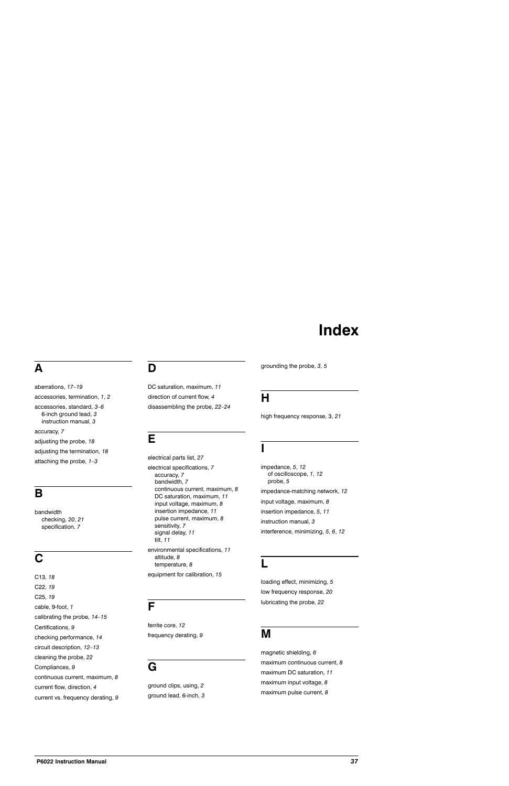# Index

# Δ

aberrations, 17-19 accessories, termination, 1, 2 accessories, standard, 3-6 6-inch ground lead, 3 instruction manual, 3 accuracy, 7 adjusting the probe, 18 adjusting the termination, 18 attaching the probe,  $1-3$ 

# B

bandwidth checking, 20, 21 specification, 7

# C

C13, 18 C22, 19 C<sub>25</sub>, 19 cable, 9-foot, 1 calibrating the probe, 14-15 Certifications, 9 checking performance, 14 circuit description, 12-13 cleaning the probe, 22 Compliances, 9 continuous current, maximum, 8 current flow, direction, 4 current vs. frequency derating, 9

# D

DC saturation, maximum, 11 direction of current flow, 4 disassembling the probe, 22-24

# E

electrical parts list, 27 electrical specifications, 7 accuracy, 7 bandwidth, 7 continuous current, maximum, 8 DC saturation, maximum, 11 input voltage, maximum, 8 insertion impedance, 11 pulse current, maximum, 8 sensitivity, 7 signal delay, 11 tilt, 11 environmental specifications, 11 altitude, 8 temperature, 8 equipment for calibration, 15

# F

ferrite core, 12 frequency derating, 9

# G

ground clips, using, 2 ground lead, 6-inch, 3 grounding the probe, 3, 5

# н

high frequency response, 3, 21

impedance, 5, 12 of oscilloscope, 1, 12 probe, 5 impedance-matching network, 12 input voltage, maximum, 8 insertion impedance, 5, 11 instruction manual, 3 interference, minimizing, 5, 6, 12

loading effect, minimizing, 5 low frequency response, 20 lubricating the probe, 22

# M

magnetic shielding, 6 maximum continuous current, 8 maximum DC saturation, 11 maximum input voltage, 8 maximum pulse current, 8